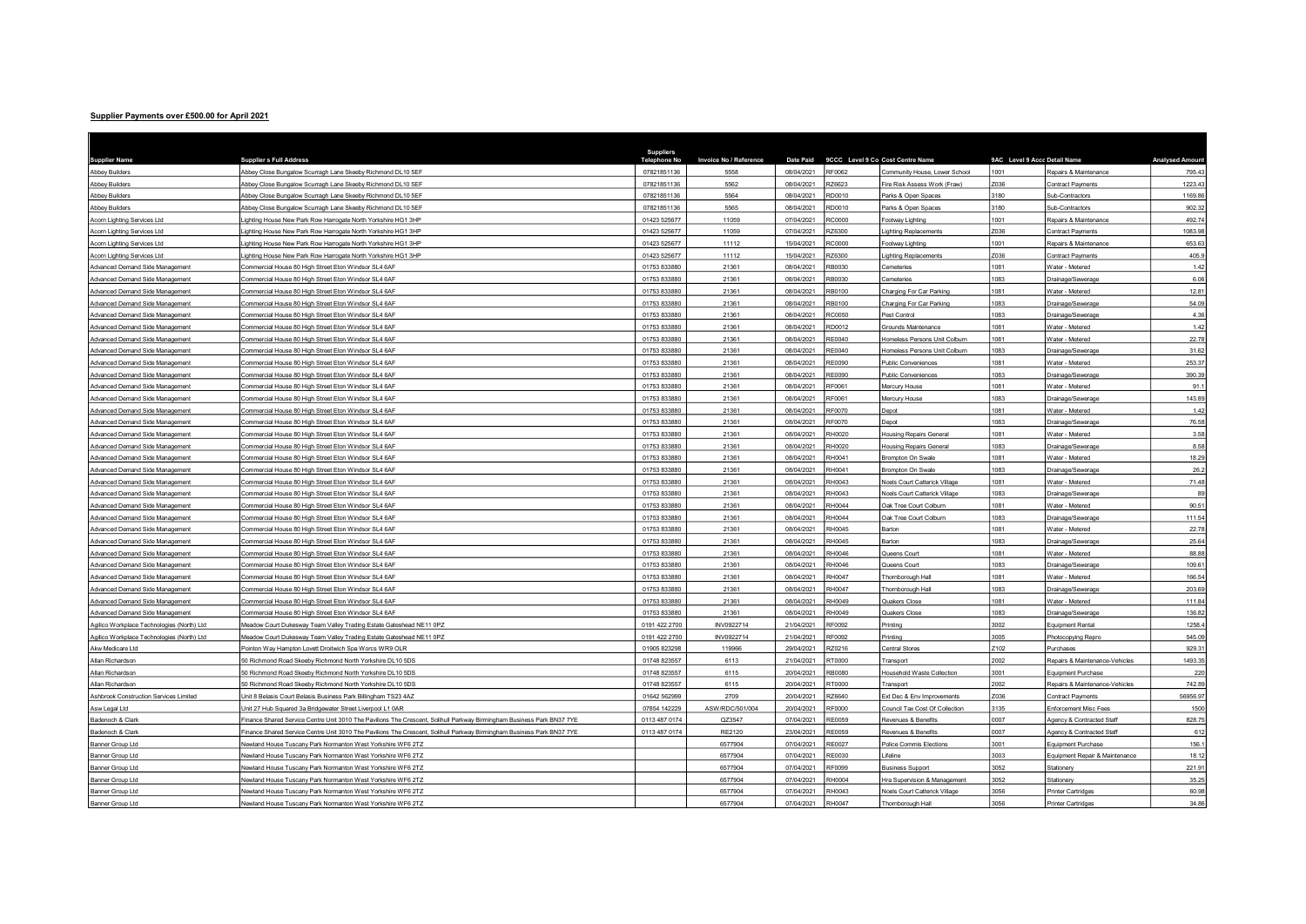## Supplier Payments over £500.00 for April 2021

| <b>Supplier Name</b>                       | <b>Suppliers Full Address</b>                                                                                          | <b>Suppliers</b> | Invoice No / Reference | Date Paid  |               | 9CCC Level 9 Co Cost Centre Name     | 9AC Level 9 Accc Detail Name |                                | <b>Analysed Amour</b> |
|--------------------------------------------|------------------------------------------------------------------------------------------------------------------------|------------------|------------------------|------------|---------------|--------------------------------------|------------------------------|--------------------------------|-----------------------|
| <b>Abbey Builders</b>                      | Abbey Close Bungalow Scurragh Lane Skeeby Richmond DL10 5EF                                                            | 07821851136      | 5558                   | 08/04/2021 | RF0062        | Community House, Lower School        | 1001                         | Repairs & Maintenance          | 795.4                 |
| <b>Abbey Builders</b>                      | Abbey Close Bungalow Scurragh Lane Skeeby Richmond DL10 5EF                                                            | 07821851136      | 5562                   | 08/04/2021 | Z6623         | Fire Risk Assess Work (Fraw)         | Z036                         | Contract Payments              | 1223.4                |
| <b>Abbey Builders</b>                      | Abbey Close Bungalow Scurragh Lane Skeeby Richmond DL10 5EF                                                            | 07821851136      | 5564                   | 08/04/2021 | RD0010        | Parks & Open Spaces                  | 3180                         | Sub-Contractors                | 1169.86               |
| <b>Abbey Builders</b>                      | Abbey Close Bungalow Scurragh Lane Skeeby Richmond DL10 5EF                                                            | 07821851136      | 5565                   | 08/04/2021 | RD0010        | Parks & Open Spaces                  | 3180                         | Sub-Contractors                | 902.32                |
| Acorn Lighting Services Ltd                | Lighting House New Park Row Harrogate North Yorkshire HG1 3HP                                                          | 01423 525677     | 11059                  | 07/04/2021 | 300003        | Footway Lighting                     | 1001                         | Repairs & Maintenance          | 492.74                |
| Acorn Lighting Services Ltd                | Lighting House New Park Row Harrogate North Yorkshire HG1 3HP                                                          | 01423 525677     | 11059                  | 07/04/2021 | 2Z6300        | <b>Lighting Replacements</b>         | Z036                         | Contract Payments              | 1083.98               |
| Acorn Lighting Services Ltd                | ighting House New Park Row Harrogate North Yorkshire HG1 3HP                                                           | 01423 525677     | 11112                  | 15/04/2021 | <b>C0000</b>  | Footway Lighting                     | 1001                         | Repairs & Maintenance          | 653.63                |
| Acorn Lighting Services Ltd                | Lighting House New Park Row Harrogate North Yorkshire HG1 3HP                                                          | 01423 525677     | 11112                  | 15/04/2021 | 2Z6300        | ighting Replacements                 | Z036                         | Contract Payments              | 405.                  |
| Advanced Demand Side Management            | Commercial House 80 High Street Eton Windsor SL4 6AF                                                                   | 01753 833880     | 21361                  | 08/04/2021 | RB0030        | Cemeteries                           | 1081                         | Water - Metered                | 1.42                  |
| Advanced Demand Side Management            | Commercial House 80 High Street Eton Windsor SL4 6AF                                                                   | 01753 833880     | 21361                  | 08/04/2021 | RB0030        | cemeteries                           | 1083                         | Drainage/Sewerage              | 6.06                  |
| Advanced Demand Side Management            | Commercial House 80 High Street Eton Windsor SL4 6AF                                                                   | 01753 833880     | 21361                  | 08/04/2021 | RB0100        | Charging For Car Parking             | 1081                         | Water - Metered                | 12.81                 |
| Advanced Demand Side Management            | Commercial House 80 High Street Eton Windsor SL4 6AF                                                                   | 01753 833880     | 21361                  | 08/04/2021 | <b>B0100</b>  | Charging For Car Parking             | 1083                         | Drainage/Sewerage              | 54.0                  |
| Advanced Demand Side Management            | Commercial House 80 High Street Eton Windsor SL4 6AF                                                                   | 01753 833880     | 21361                  | 08/04/2021 | RC0050        | Pest Control                         | 1083                         | Drainage/Sewerage              | 4.36                  |
| Advanced Demand Side Management            | Commercial House 80 High Street Fton Windsor SI 4 6AF                                                                  | 01753 833880     | 21361                  | 08/04/2021 | RD0012        | Grounds Maintenance                  | 1081                         | Water - Metered                | 1.42                  |
| Advanced Demand Side Management            | Commercial House 80 High Street Eton Windsor SL4 6AF                                                                   | 01753 833880     | 21361                  | 08/04/2021 | RF0040        | Homeless Persons Unit Colburn        | 081                          | Water - Metered                | 22.78                 |
| Advanced Demand Side Management            | Commercial House 80 High Street Eton Windsor SL4 6AF                                                                   | 01753 833880     | 21361                  | 08/04/2021 | RF0040        | Homeless Persons Unit Colburn        | 1083                         | Drainage/Sewerage              | 31.6                  |
| Advanced Demand Side Management            | Commercial House 80 High Street Eton Windsor SL4 6AF                                                                   | 01753 833880     | 21361                  | 08/04/2021 | RE0090        | Public Conveniences                  | 1081                         | Water - Metered                | 253.37                |
| Advanced Demand Side Management            | Commercial House 80 High Street Eton Windsor SL4 6AF                                                                   | 01753 833880     | 21361                  | 08/04/2021 | RE0090        | Public Conveniences                  | 1083                         | Drainage/Sewerage              | 390.39                |
| Advanced Demand Side Management            | Commercial House 80 High Street Eton Windsor SL4 6AF                                                                   | 01753 833880     | 21361                  | 08/04/2021 | RF0061        | Mercury House                        | 1081                         | Water - Metered                | 91.                   |
| Advanced Demand Side Management            | Commercial House 80 High Street Eton Windsor SL4 6AF                                                                   | 01753 833880     | 21361                  | 08/04/2021 | RF0061        | Mercury House                        | 1083                         | Drainage/Sewerage              | 143.89                |
| Advanced Demand Side Management            | Commercial House 80 High Street Eton Windsor SL4 6AF                                                                   | 01753 833880     | 21361                  | 08/04/2021 | RF0070        | Depot                                | 081                          | Water - Metered                | 1.42                  |
| Advanced Demand Side Management            | Commercial House 80 High Street Eton Windsor SL4 6AF                                                                   | 01753 833880     | 21361                  | 08/04/2021 | RF0070        | Depot                                | 1083                         | Drainage/Sewerage              | 76.58                 |
| Advanced Demand Side Management            | Commercial House 80 High Street Eton Windsor SL4 6AF                                                                   | 01753 833880     | 21361                  | 08/04/2021 | RH0020        | <b>Housing Repairs General</b>       | 1081                         | Water - Metered                | 3.58                  |
| Advanced Demand Side Management            | Commercial House 80 High Street Eton Windsor SL4 6AF                                                                   | 01753 833880     | 21361                  | 08/04/2021 | H0020         | <b>Housing Repairs General</b>       | 1083                         | Drainage/Sewerage              | 8.58                  |
| Advanced Demand Side Management            | Commercial House 80 High Street Eton Windsor SL4 6AF                                                                   | 01753 833880     | 21361                  | 08/04/2021 | RH0041        | Brompton On Swale                    | 1081                         | Water - Metered                | 18.29                 |
| Advanced Demand Side Management            | Commercial House 80 High Street Eton Windsor SL4 6AF                                                                   | 01753 833880     | 21361                  | 08/04/2021 | RH0041        | Brompton On Swale                    | 1083                         | Drainage/Sewerage              | 26.2                  |
| Advanced Demand Side Management            | Commercial House 80 High Street Eton Windsor SL4 6AF                                                                   | 01753 833880     | 21361                  | 08/04/2021 | RH0043        | <b>Voels Court Catterick Village</b> | 1081                         | Water - Metered                | 71.48                 |
| Advanced Demand Side Management            | Commercial House 80 High Street Eton Windsor SL4 6AF                                                                   | 01753 833880     | 21361                  | 08/04/2021 | RH0043        | Noels Court Catterick Village        | 1083                         | Drainage/Sewerage              | 8                     |
| Advanced Demand Side Management            | Commercial House 80 High Street Eton Windsor SL4 6AF                                                                   | 01753 833880     | 21361                  | 08/04/2021 | H0044         | <b>Jak Tree Court Colburn</b>        | 081                          | Water - Metered                | 90.5                  |
| Advanced Demand Side Management            | Commercial House 80 High Street Eton Windsor SL4 6AF                                                                   | 01753 833880     | 21361                  | 08/04/2021 | RH0044        | Oak Tree Court Colburn               | 1083                         | Drainage/Sewerage              | 111.5                 |
| Advanced Demand Side Management            | Commercial House 80 High Street Eton Windsor SL4 6AF                                                                   | 01753 833880     | 21361                  | 08/04/2021 | RH0045        | Barton                               | 1081                         | Water - Metered                | 22.78                 |
| Advanced Demand Side Management            | Commercial House 80 High Street Eton Windsor SL4 6AF                                                                   | 01753 833880     | 21361                  | 08/04/2021 | RH0045        | Barton                               | 1083                         | Drainage/Sewerage              | 25.6                  |
| Advanced Demand Side Managemen             | Commercial House 80 High Street Eton Windsor SL4 6AF                                                                   | 01753 833880     | 21361                  | 08/04/2021 | H0046         | Queens Court                         | 1081                         | Water - Metered                | 88.8                  |
| Advanced Demand Side Management            | Commercial House 80 High Street Eton Windsor SL4 6AF                                                                   | 01753 833880     | 21361                  | 08/04/2021 | RH0046        | Queens Court                         | 1083                         | Drainage/Sewerage              | 109.6                 |
| Advanced Demand Side Management            | Commercial House 80 High Street Eton Windsor SL4 6AF                                                                   | 01753 833880     | 21361                  | 08/04/2021 | RH0047        | <b>Fhomborough Hall</b>              | 081                          | Water - Metered                | 166.5                 |
| Advanced Demand Side Management            | Commercial House 80 High Street Eton Windsor SL4 6AF                                                                   | 01753 833880     | 21361                  | 08/04/2021 | RH0047        | <b>Fhomborough Hall</b>              | 1083                         | Drainage/Sewerage              | 203.69                |
| Advanced Demand Side Management            | Commercial House 80 High Street Eton Windsor SL4 6AF                                                                   | 01753 833880     | 21361                  | 08/04/2021 | RH0049        | Quakers Close                        | 1081                         | Water - Metered                | 111.84                |
| Advanced Demand Side Management            | Commercial House 80 High Street Eton Windsor SL4 6AF                                                                   | 01753 833880     | 21361                  | 08/04/2021 | RH0049        | Quakers Close                        | 1083                         | Drainage/Sewerage              | 136.8                 |
| Agilico Workplace Technologies (North) Ltd | Meadow Court Dukesway Team Valley Trading Estate Gateshead NE11 0PZ                                                    | 0191 422 2700    | INV0922714             | 21/04/2021 | RF0092        | Printing                             | 3002                         | Equipment Rental               | 1258.                 |
| Agilico Workplace Technologies (North) Ltd | Meadow Court Dukesway Team Valley Trading Estate Gateshead NE11 0PZ                                                    | 0191 422 2700    | INV0922714             | 21/04/2021 | RF0092        | Printing                             | 3005                         | Photocopying Repro             | 545.0                 |
| Akw Medicare Ltd                           | Pointon Way Hampton Lovett Droitwich Spa Worcs WR9 OLR                                                                 | 01905 823298     | 119966                 | 29/04/2021 | RZ0216        | Central Stores                       | Z102                         | Purchases                      | 929.3                 |
| Allan Richardson                           | 50 Richmond Road Skeeby Richmond North Yorkshire DL10 5DS                                                              | 01748 823557     | 6113                   | 21/04/2021 | 00007         | Transport                            | 2002                         | Repairs & Maintenance-Vehicles | 1493.3                |
| Allan Richardson                           | 50 Richmond Road Skeeby Richmond North Yorkshire DL10 5DS                                                              | 01748 823557     | 6115                   | 20/04/2021 | <b>RB0080</b> | Household Waste Collection           | 3001                         | Equipment Purchase             | 220                   |
| Allan Richardson                           | 50 Richmond Road Skeeby Richmond North Yorkshire DL10 5DS                                                              | 01748 823557     | 6115                   | 20/04/2021 | RT0000        | Transport                            | 2002                         | Repairs & Maintenance-Vehicles | 742.8                 |
| Ashbrook Construction Services Limited     | Unit 8 Belasis Court Belasis Business Park Billingham TS23 4AZ                                                         | 01642 562999     | 2709                   | 20/04/2021 | RZ6640        | Ext Dec & Env Improvements           | Z036                         | Contract Payments              | 56956.9               |
| Asw Legal Ltd                              | Unit 27 Hub Squared 3a Bridgewater Street Liverpool L1 0AR                                                             | 07854 142229     | ASW/RDC/501/004        | 20/04/2021 | <b>RE0000</b> | Council Tax Cost Of Collection       | 3135                         | Enforcement Misc Fees          | 1500                  |
| Badenoch & Clark                           | Finance Shared Service Centre Unit 3010 The Pavilions The Crescent, Solihull Parkway Birmingham Business Park BN37 7YE | 0113 487 0174    | QZ3547                 | 07/04/2021 | <b>RE0059</b> | Revenues & Benefits                  | 0007                         | Agency & Contracted Staff      | 828.7                 |
| Badenoch & Clark                           | Finance Shared Service Centre Unit 3010 The Pavilions The Crescent, Solihull Parkway Birmingham Business Park BN37 7YE | 0113 487 0174    | RE2120                 | 23/04/2021 | RE0059        | Revenues & Benefits                  | 0007                         | Agency & Contracted Staff      | 612                   |
| Banner Group Ltd                           | Newland House Tuscany Park Normanton West Yorkshire WF6 2TZ                                                            |                  | 6577904                | 07/04/2021 | RE0027        | Police Commis Elections              | 3001                         | Equipment Purchase             | 156.                  |
| Banner Group Ltd                           | Newland House Tuscany Park Normanton West Yorkshire WF6 2TZ                                                            |                  | 6577904                | 07/04/2021 | RE0030        | ifeline                              | 3003                         | Equipment Repair & Maintenance | 18.1                  |
| Banner Group Ltd                           | Newland House Tuscany Park Normanton West Yorkshire WF6 2TZ                                                            |                  | 6577904                | 07/04/2021 | RF0099        | <b>Business Support</b>              | 3052                         | Stationery                     | 221.9                 |
| Banner Group Ltd                           | Newland House Tuscany Park Normanton West Yorkshire WF6 2TZ                                                            |                  | 6577904                | 07/04/2021 | RH0004        | Hra Supervision & Management         | <b>052</b>                   | Stationery                     | 35.25                 |
| Banner Group Ltd                           | Newland House Tuscany Park Normanton West Yorkshire WE6 2TZ                                                            |                  | 6577904                | 07/04/2021 | RH0043        | Noels Court Catterick Village        | 3056                         | <b>Printer Cartridges</b>      | 60.9                  |
| Banner Group Ltd                           | Newland House Tuscany Park Normanton West Yorkshire WF6 2TZ                                                            |                  | 6577904                | 07/04/2021 | RH0047        | Thornborough Hall                    | 3056                         | <b>Printer Cartridges</b>      | 34.86                 |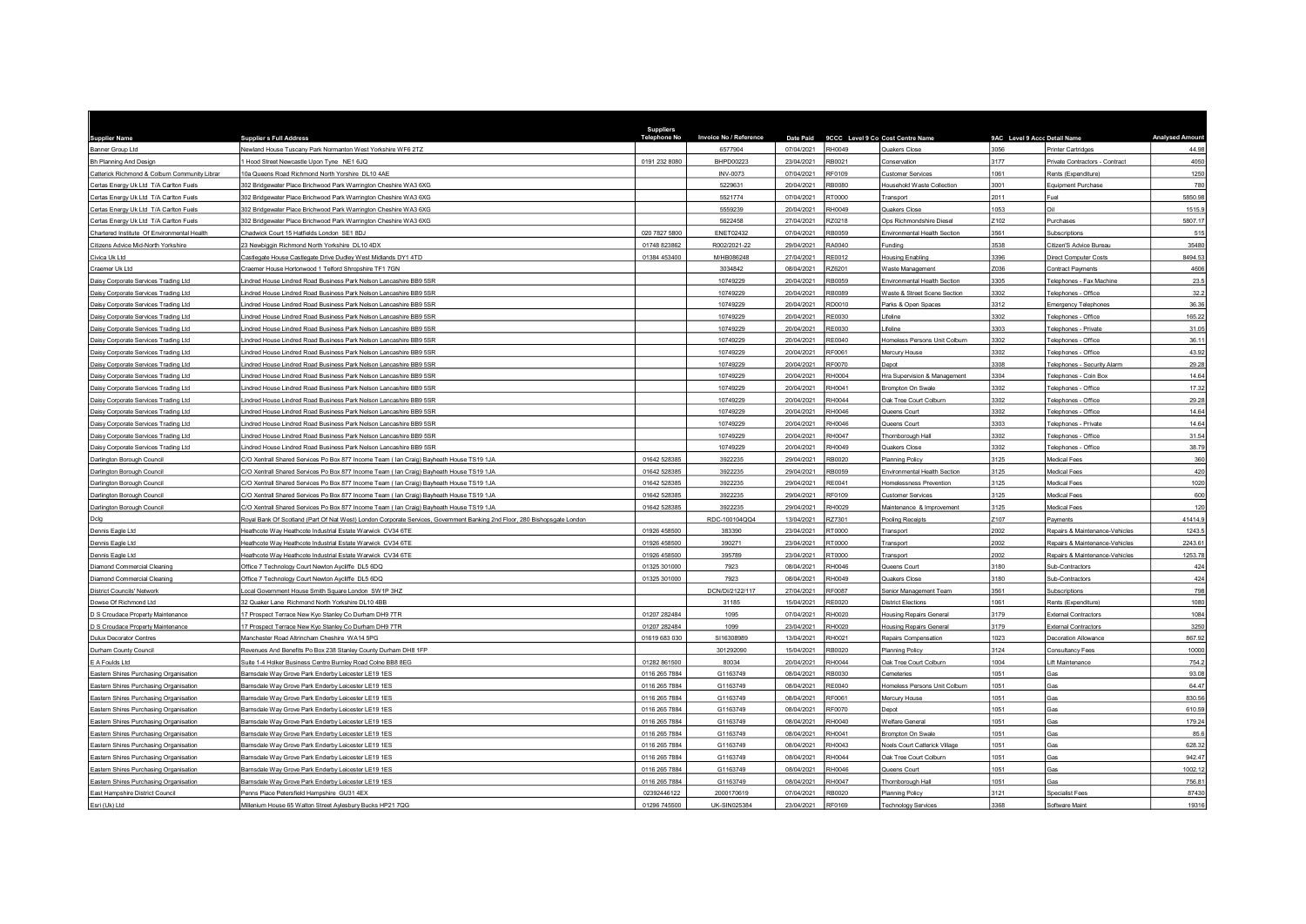| <b>Supplier Name</b>                          | <b>Supplier s Full Address</b>                                                                                            | <b>Suppliers</b><br><b>Telephone No</b> | Invoice No / Reference | Date Paid  |               | 9CCC Level 9 Co Cost Centre Name    | 9AC Level 9 Accc Detail Name |                                | <b>Analysed Amour</b> |
|-----------------------------------------------|---------------------------------------------------------------------------------------------------------------------------|-----------------------------------------|------------------------|------------|---------------|-------------------------------------|------------------------------|--------------------------------|-----------------------|
| Banner Group Ltd                              | lewland House Tuscany Park Normanton West Yorkshire WF6 2TZ                                                               |                                         | 6577904                | 07/04/2021 | <b>RH0049</b> | <b>Quakers Close</b>                | 3056                         | Printer Cartridges             | 44.98                 |
| Bh Planning And Design                        | Hood Street Newcastle Upon Tyne NE1 6JQ                                                                                   | 0191 232 8080                           | BHPD00223              | 23/04/2021 | RB0021        | Conservation                        | 3177                         | Private Contractors - Contract | 4050                  |
| Catterick Richmond & Colburn Community Librar | 0a Queens Road Richmond North Yorshire DL10 4AE                                                                           |                                         | INV-0073               | 07/04/2021 | RF0109        | Customer Services                   | 1061                         | Rents (Expenditure)            | 1250                  |
| Certas Energy Uk Ltd T/A Carlton Fuels        | 302 Bridgewater Place Brichwood Park Warrington Cheshire WA3 6XG                                                          |                                         | 5229631                | 20/04/2021 | <b>RB0080</b> | Household Waste Collection          | 3001                         | Equipment Purchase             | 780                   |
| Certas Energy Uk Ltd T/A Carlton Fuels        | 02 Bridgewater Place Brichwood Park Warrington Cheshire WA3 6XG                                                           |                                         | 5521774                | 07/04/2021 | RT0000        | Transport                           | 2011                         | Fuel                           | 5850.98               |
| Certas Energy Uk Ltd T/A Carlton Fuels        | 302 Bridgewater Place Brichwood Park Warrington Cheshire WA3 6XG                                                          |                                         | 5559239                | 20/04/2021 | RH0049        | Quakers Close                       | 1053                         | Oil                            | 1515.9                |
| Certas Energy Uk Ltd T/A Carlton Fuels        | 302 Bridgewater Place Brichwood Park Warrington Cheshire WA3 6XG                                                          |                                         | 5622458                | 27/04/2021 | RZ0218        | Ops Richmondshire Diesel            | Z102                         | Purchases                      | 5807.17               |
| Chartered Institute Of Environmental Health   | hadwick Court 15 Hatfields London SE1 8DJ                                                                                 | 020 7827 5800                           | <b>ENET02432</b>       | 07/04/2021 | RB0059        | Environmental Health Section        | 3561                         | Subscriptions                  | 515                   |
| Citizens Advice Mid-North Yorkshire           | 23 Newbiggin Richmond North Yorkshire DL10 4DX                                                                            | 01748 823862                            | R002/2021-22           | 29/04/2021 | RA0040        | Funding                             | 3538                         | Citizen'S Advice Bureau        | 35480                 |
| Civica Uk Ltd                                 | Castlegate House Castlegate Drive Dudley West Midlands DY1 4TD                                                            | 01384 453400                            | M/HB086248             | 27/04/2021 | RE0012        | Housing Enabling                    | 3396                         | Direct Computer Costs          | 8494.53               |
| Craemer Uk Ltd                                | Craemer House Hortonwood 1 Telford Shropshire TF1 7GN                                                                     |                                         | 3034842                | 08/04/2021 | 2Z6201        | <b>Naste Management</b>             | Z036                         | Contract Payments              | 4606                  |
| Daisy Corporate Services Trading Ltd          | indred House Lindred Road Business Park Nelson Lancashire BB9 5SR                                                         |                                         | 10749229               | 20/04/2021 | RB0059        | Environmental Health Section        | 3305                         | Telephones - Fax Machine       | 23.5                  |
| Daisy Corporate Services Trading Ltd          | indred House Lindred Road Business Park Nelson Lancashire BB9 5SR                                                         |                                         | 10749229               | 20/04/2021 | RB0089        | Vaste & Street Scene Section        | 3302                         | Telephones - Office            | 32.2                  |
| Daisy Corporate Services Trading Ltd          | indred House Lindred Road Business Park Nelson Lancashire BB9 5SR                                                         |                                         | 10749229               | 20/04/2021 | RD0010        | Parks & Open Spaces                 | 3312                         | <b>Emergency Telephones</b>    | 36.36                 |
| Daisy Corporate Services Trading Ltd          | indred House Lindred Road Business Park Nelson Lancashire BB9 5SR                                                         |                                         | 10749229               | 20/04/2021 | RE0030        | <i>ifeline</i>                      | 3302                         | Telephones - Office            | 165.22                |
| Daisy Corporate Services Trading Ltd          | indred House Lindred Road Business Park Nelson Lancashire BB9 5SR                                                         |                                         | 10749229               | 20/04/2021 | RF0030        | ifeline                             | 3303                         | Telephones - Private           | 31.05                 |
| Daisy Corporate Services Trading Ltd          | indred House Lindred Road Business Park Nelson Lancashire BB9 5SR                                                         |                                         | 10749229               | 20/04/2021 | <b>RE0040</b> | Iomeless Persons Unit Colburn       | 3302                         | Telephones - Office            | 36.11                 |
| Daisy Corporate Services Trading Ltd          | indred House Lindred Road Business Park Nelson Lancashire BB9 5SR                                                         |                                         | 10749229               | 20/04/2021 | RF0061        | Mercury House                       | 3302                         | Telephones - Office            | 43.92                 |
| Daisy Corporate Services Trading Ltd          | indred House Lindred Road Business Park Nelson Lancashire BB9 5SR                                                         |                                         | 10749229               | 20/04/2021 | <b>RE0070</b> | epot                                | 3308                         | Telephones - Security Alarm    | 29.28                 |
| Daisy Corporate Services Trading Ltd          | indred House Lindred Road Business Park Nelson Lancashire BB9 5SR                                                         |                                         | 10749229               | 20/04/2021 | <b>RH0004</b> | Hra Supervision & Management        | 3304                         | Telephones - Coin Box          | 14.64                 |
| Daisy Corporate Services Trading Ltd          | indred House Lindred Road Business Park Nelson Lancashire BB9 5SR                                                         |                                         | 10749229               | 20/04/2021 | RH0041        | <b>Brompton On Swale</b>            | 3302                         | Telephones - Office            | 17.32                 |
| Daisy Corporate Services Trading Ltd          | indred House Lindred Road Business Park Nelson Lancashire BB9 5SR                                                         |                                         | 10749229               | 20/04/2021 | RH0044        | Dak Tree Court Colburn              | 3302                         | Telephones - Office            | 29.28                 |
| Daisy Corporate Services Trading Ltd          | indred House Lindred Road Business Park Nelson Lancashire BB9 5SR                                                         |                                         | 10749229               | 20/04/2021 | RH0046        | Queens Court                        | 3302                         | Telephones - Office            | 14.64                 |
| Daisy Corporate Services Trading Ltd          | indred House Lindred Road Business Park Nelson Lancashire BB9 5SR                                                         |                                         | 10749229               | 20/04/2021 | RH0046        | Queens Court                        | 3303                         | Telephones - Private           | 14.64                 |
| Daisy Corporate Services Trading Ltd          | indred House Lindred Road Business Park Nelson Lancashire BB9 5SR                                                         |                                         | 10749229               | 20/04/2021 | RH0047        | Thomborough Hall                    | 3302                         | Telephones - Office            | 31.54                 |
| Daisy Corporate Services Trading Ltd          | indred House Lindred Road Business Park Nelson Lancashire BB9 5SR                                                         |                                         | 10749229               | 20/04/2021 | RH0049        | Quakers Close                       | 3302                         | Telephones - Office            | 38.79                 |
| Darlington Borough Council                    | XO Xentrall Shared Services Po Box 877 Income Team (Ian Craig) Bayheath House TS19 1JA                                    | 01642 528385                            | 3922235                | 29/04/2021 | RB0020        | Planning Policy                     | 3125                         | Medical Fees                   | 360                   |
| Darlington Borough Council                    | C/O Xentrall Shared Services Po Box 877 Income Team ( lan Craig) Bayheath House TS19 1JA                                  | 01642 528385                            | 3922235                | 29/04/2021 | <b>RB0059</b> | <b>Environmental Health Section</b> | 3125                         | Medical Fees                   | 420                   |
| Darlington Borough Council                    | XO Xentrall Shared Services Po Box 877 Income Team (Ian Craig) Bayheath House TS19 1JA                                    | 01642 528385                            | 3922235                | 29/04/2021 | RF0041        | Iomelessness Prevention             | 3125                         | Medical Fees                   | 1020                  |
| Darlington Borough Council                    | C/O Xentrall Shared Services Po Box 877 Income Team ( Ian Craig) Bayheath House TS19 1JA                                  | 01642 528385                            | 3922235                | 29/04/2021 | RF0109        | Customer Services                   | 3125                         | Medical Fees                   | 600                   |
| Darlington Borough Council                    | C/O Xentrall Shared Services Po Box 877 Income Team ( Ian Craig) Bayheath House TS19 1JA                                  | 01642 528385                            | 3922235                | 29/04/2021 | RH0029        | Maintenance & Improvement           | 3125                         | Medical Fees                   | 120                   |
| Dola                                          | Royal Bank Of Scotland (Part Of Nat West) London Corporate Services, Government Banking 2nd Floor, 280 Bishopsgate London |                                         | RDC-100104QQ4          | 13/04/2021 | RZ7301        | Pooling Receipts                    | Z <sub>107</sub>             | Payments                       | 41414.9               |
| Dennis Eagle Ltd                              | eathcote Way Heathcote Industrial Estate Warwick CV34 6TE                                                                 | 01926 458500                            | 383390                 | 23/04/2021 | RT0000        | Transport                           | 2002                         | Repairs & Maintenance-Vehicles | 1243.5                |
| Dennis Eagle Ltd                              | leathcote Way Heathcote Industrial Estate Warwick CV34 6TE                                                                | 01926 458500                            | 390271                 | 23/04/2021 | RT0000        | Transport                           | 2002                         | Repairs & Maintenance-Vehicles | 2243.61               |
| Dennis Eagle Ltd                              | Heathcote Way Heathcote Industrial Estate Warwick CV34 6TE                                                                | 01926 458500                            | 395789                 | 23/04/2021 | RT0000        | Transport                           | 2002                         | Repairs & Maintenance-Vehicles | 1253.78               |
| Diamond Commercial Cleaning                   | Office 7 Technology Court Newton Avcliffe DL5 6DQ                                                                         | 01325 301000                            | 7923                   | 08/04/2021 | RH0046        | <b>Queens Court</b>                 | 3180                         | Sub-Contractors                | 424                   |
| Diamond Commercial Cleaning                   | Office 7 Technology Court Newton Aycliffe DL5 6DQ                                                                         | 01325 301000                            | 7923                   | 08/04/2021 | RH0049        | Quakers Close                       | 3180                         | Sub-Contractors                | 424                   |
| <b>District Councils' Network</b>             | ocal Government House Smith Square London SW1P 3HZ                                                                        |                                         | DCN/DI/2122/117        | 27/04/2021 | <b>RE0087</b> | Senior Management Team              | 3561                         | Subscriptions                  | 798                   |
| Dowse Of Richmond Ltd                         | 32 Quaker Lane Richmond North Yorkshire DL10 4BB                                                                          |                                         | 31185                  | 15/04/2021 | RE0020        | District Elections                  | 1061                         | Rents (Expenditure)            | 1080                  |
| S Croudace Property Maintenance               | 7 Prospect Terrace New Kyo Stanley Co Durham DH9 7TR                                                                      | 01207 282484                            | 1095                   | 07/04/2021 | RH0020        | lousing Repairs General             | 3179                         | External Contractors           | 1084                  |
| D S Croudace Property Maintenance             | 17 Prospect Terrace New Kyo Stanley Co Durham DH9 7TR                                                                     | 01207 282484                            | 1099                   | 23/04/2021 | RH0020        | <b>Housing Repairs General</b>      | 3179                         | <b>External Contractors</b>    | 3250                  |
| <b>Dulux Decorator Centres</b>                | Manchester Road Altrincham Cheshire WA14 5PG                                                                              | 01619 683 030                           | SI16308989             | 13/04/2021 | RH0021        | Repairs Compensation                | 1023                         | Decoration Allowance           | 867.92                |
| Durham County Council                         | Revenues And Benefits Po Box 238 Stanley County Durham DH8 1FP                                                            |                                         | 301292090              | 15/04/2021 | RB0020        | <b>Planning Policy</b>              | 3124                         | Consultancy Fees               | 10000                 |
| E A Foulds Ltd                                | Suite 1-4 Holker Business Centre Burnley Road Colne BB8 8EG                                                               | 01282 861500                            | 80034                  | 20/04/2021 | RH0044        | Jak Tree Court Colburn              | 1004                         | ift Maintenance                | 754.2                 |
| Eastern Shires Purchasing Organisation        | Barnsdale Way Grove Park Enderby Leicester LE19 1ES                                                                       | 0116 265 7884                           | G1163749               | 08/04/2021 | RB0030        | Cemeteries                          | 1051                         | Gas                            | 93.08                 |
| Eastern Shires Purchasing Organisation        | Barnsdale Way Grove Park Enderby Leicester LE19 1ES                                                                       | 0116 265 7884                           | G1163749               | 08/04/2021 | <b>RE0040</b> | Homeless Persons Unit Colburn       | 1051                         | Gas                            | 64.47                 |
| Eastern Shires Purchasing Organisation        | arnsdale Way Grove Park Enderby Leicester LE19 1ES                                                                        | 0116 265 7884                           | G1163749               | 08/04/2021 | RF0061        | Mercury House                       | 1051                         | Gas                            | 830.56                |
| Eastern Shires Purchasing Organisation        | Barnsdale Way Grove Park Enderby Leicester LE19 1ES                                                                       | 0116 265 7884                           | G1163749               | 08/04/2021 | RF0070        | epot                                | 1051                         | Gas                            | 610.59                |
| Eastern Shires Purchasing Organisation        | Barnsdale Way Grove Park Enderby Leicester LE19 1ES                                                                       | 0116 265 7884                           | G1163749               | 08/04/2021 | RH0040        | Welfare General                     | 1051                         | Gas                            | 179.24                |
| Eastern Shires Purchasing Organisation        | arnsdale Way Grove Park Enderby Leicester LE19 1ES                                                                        | 0116 265 7884                           | G1163749               | 08/04/2021 | RH0041        | <b>Irompton On Swale</b>            | 1051                         | Gas                            | 85.6                  |
| Eastern Shires Purchasing Organisation        | Barnsdale Way Grove Park Enderby Leicester LE19 1ES                                                                       | 0116 265 7884                           | G1163749               | 08/04/2021 | RH0043        | Noels Court Catterick Village       | 1051                         | Gas                            | 628.32                |
| Eastern Shires Purchasing Organisation        | Barnsdale Way Grove Park Enderby Leicester LE19 1ES                                                                       | 0116 265 7884                           | G1163749               | 08/04/2021 | RH0044        | Dak Tree Court Colburr              | 1051                         | Gas                            | 942.47                |
| Eastern Shires Purchasing Organisation        | Barnsdale Way Grove Park Enderby Leicester LE19 1ES                                                                       | 0116 265 7884                           | G1163749               | 08/04/2021 | <b>RH0046</b> | Queens Court                        | 1051                         | Gas                            | 1002.12               |
| Eastern Shires Purchasing Organisation        | Barnsdale Way Grove Park Enderby Leicester LE19 1ES                                                                       | 0116 265 7884                           | G1163749               | 08/04/2021 | RH0047        | Thornborough Hall                   | 1051                         |                                | 756.81                |
| East Hampshire District Council               | Penns Place Petersfield Hampshire GU31 4EX                                                                                | 02392446122                             | 2000170619             | 07/04/2021 | RB0020        | <b>Planning Policy</b>              | 3121                         | Specialist Fees                | 87430                 |
| Esri (Uk) Ltd                                 | Millenium House 65 Walton Street Aylesbury Bucks HP21 7QG                                                                 | 01296 745500                            | <b>UK-SIN025384</b>    | 23/04/2021 | RF0169        | <b>Technology Services</b>          | 3368                         | Software Maint                 | 19316                 |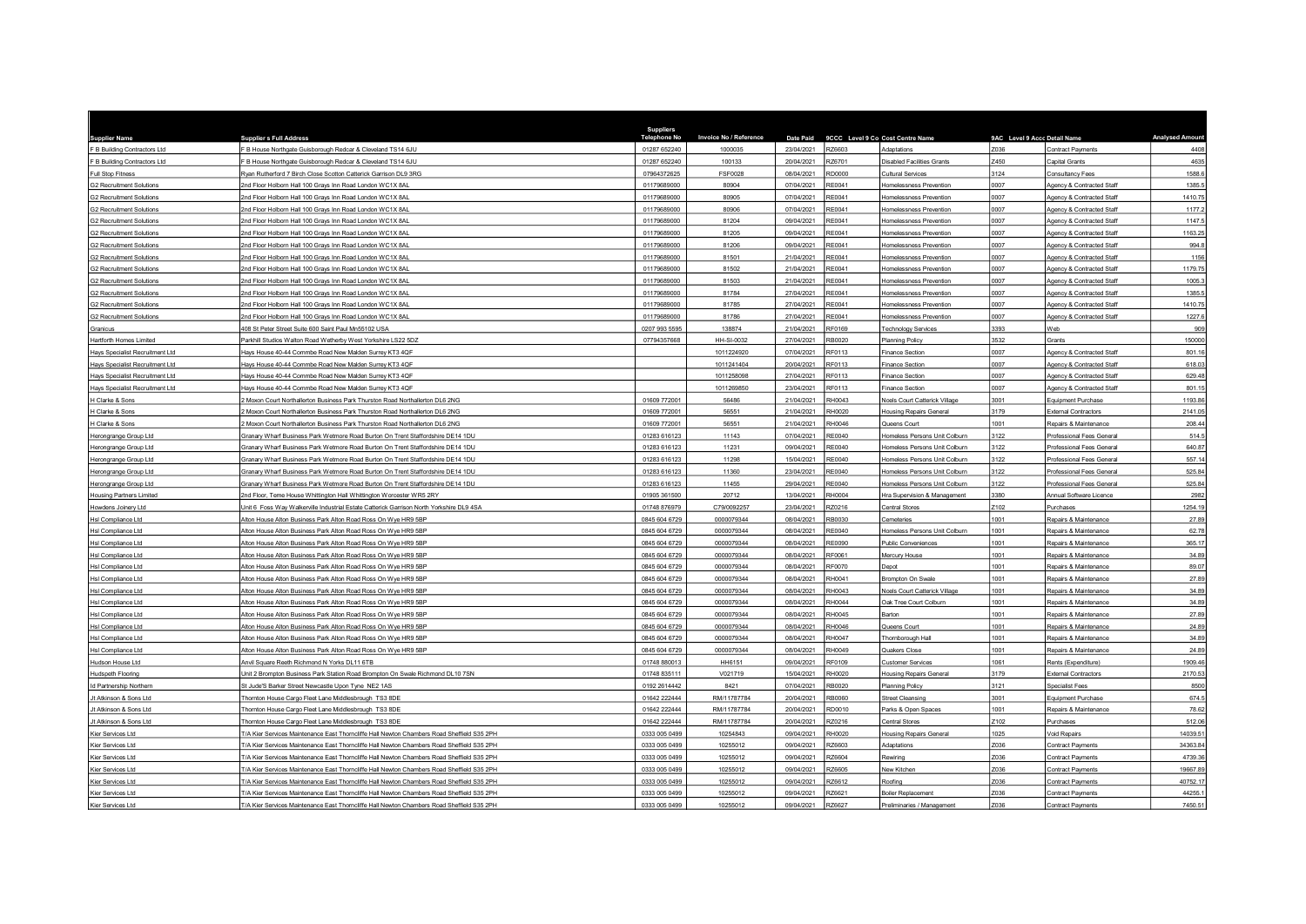| <b>iupplier Name</b>                     | <b>Supplier s Full Address</b>                                                                                                   | <b>Suppliers</b><br><b>Telephone No</b> | Invoice No / Reference   | Date Paid                |                  | 9CCC Level 9 Co Cost Centre Name                        | 9AC Level 9 Accc Detail Name |                                                | <b>Analysed Amour</b> |
|------------------------------------------|----------------------------------------------------------------------------------------------------------------------------------|-----------------------------------------|--------------------------|--------------------------|------------------|---------------------------------------------------------|------------------------------|------------------------------------------------|-----------------------|
| F B Building Contractors Ltd             | B House Northgate Guisborough Redcar & Cleveland TS14 6JU                                                                        | 01287 652240                            | 1000035                  | 23/04/2021               | RZ6603           | Adaptations                                             | Z036                         | <b>Contract Payments</b>                       | 4408                  |
| F B Building Contractors Ltd             | B House Northgate Guisborough Redcar & Cleveland TS14 6JU                                                                        | 01287 652240                            | 100133                   | 20/04/2021               | RZ6701           | isabled Facilities Grants                               | Z450                         | Capital Grants                                 | 4635                  |
| Full Stop Fitness                        | Nyan Rutherford 7 Birch Close Scotton Catterick Garrison DL9 3RG                                                                 | 07964372625                             | FSF0028                  | 08/04/2021               | RD0000           | <b>Cultural Services</b>                                | 3124                         | Consultancy Fees                               | 1588.6                |
| <b>G2 Recruitment Solutions</b>          | Ind Floor Holborn Hall 100 Grays Inn Road London WC1X 8AL                                                                        | 01179689000                             | 80904                    | 07/04/2021               | RE0041           | Iomelessness Prevention                                 | 0007                         | Agency & Contracted Staff                      | 1385.5                |
| <b>G2 Recruitment Solution</b>           | nd Floor Holborn Hall 100 Grays Inn Road London WC1X 8A                                                                          | 01179689000                             | 80905                    | 07/04/2021               | RE0041           | <b>Iomelessness Preventior</b>                          | 0007                         | Agency & Contracted Staf                       | 1410.75               |
| <b>G2 Recruitment Solutions</b>          | Ind Floor Holborn Hall 100 Grays Inn Road London WC1X 8AL                                                                        | 01179689000                             | 80906                    | 07/04/2021               | RE0041           | Iomelessness Prevention                                 | 0007                         | Agency & Contracted Staff                      | 1177.2                |
| <b>G2 Recruitment Solutions</b>          | nd Floor Holborn Hall 100 Grays Inn Road London WC1X 8AL                                                                         | 01179689000                             | 81204                    | 09/04/2021               | RF0041           | <b>Homelessness Prevention</b>                          | 0007                         | Agency & Contracted Staff                      | 1147.5                |
| <b>G2 Recruitment Solutions</b>          | 2nd Floor Holborn Hall 100 Grays Inn Road London WC1X 8AL                                                                        | 01179689000                             | 81205                    | 09/04/2021               | RE0041           | Homelessness Prevention                                 | 0007                         | Agency & Contracted Staff                      | 1163.25               |
| <b>G2 Recruitment Solutions</b>          | Ind Floor Holborn Hall 100 Grays Inn Road London WC1X 8AL                                                                        | 01179689000                             | 81206                    | 09/04/2021               | RE0041           | <b>Homelessness Prevention</b>                          | 0007                         | Agency & Contracted Staff                      | 994.8                 |
| <b>G2 Recruitment Solutions</b>          | Ind Floor Holborn Hall 100 Grays Inn Road London WC1X 8AL                                                                        | 01179689000                             | 81501                    | 21/04/2021               | RE0041           | Homelessness Prevention                                 | 0007                         | Agency & Contracted Staff                      | 1156                  |
| <b>G2 Recruitment Solutions</b>          | nd Floor Holborn Hall 100 Grays Inn Road London WC1X 8AL                                                                         | 01179689000                             | 81502                    | 21/04/2021               | RE0041           | Homelessness Prevention                                 | 0007                         | Agency & Contracted Staff                      | 1179.75               |
| <b>G2 Recruitment Solutions</b>          | Ind Floor Holborn Hall 100 Grays Inn Road London WC1X 8AL                                                                        | 01179689000                             | 81503                    | 21/04/2021               | RE0041           | Homelessness Prevention                                 | 0007                         | Agency & Contracted Staff                      | 1005.3                |
| <b>G2 Recruitment Solutions</b>          | nd Floor Holborn Hall 100 Grays Inn Road London WC1X 8AL                                                                         | 01179689000                             | 81784                    | 27/04/2021               | RE0041           | Iomelessness Prevention                                 | 0007                         | Agency & Contracted Staff                      | 1385.5                |
| <b>G2 Recruitment Solutions</b>          | nd Floor Holborn Hall 100 Grays Inn Road London WC1X 8AL                                                                         | 01179689000                             | 81785                    | 27/04/2021               | RE0041           | Iomelessness Prevention                                 | 0007                         | Agency & Contracted Staff                      | 1410.75               |
| <b>G2 Recruitment Solutions</b>          | Ind Floor Holborn Hall 100 Grays Inn Road London WC1X 8AL                                                                        | 01179689000                             | 81786                    | 27/04/2021               | RE0041           | <b>Iomelessness Prevention</b>                          | 0007                         | Agency & Contracted Staff                      | 1227.6                |
| Granicus                                 | 08 St Peter Street Suite 600 Saint Paul Mn55102 USA                                                                              | 0207 993 5595                           | 138874                   | 21/04/2021               | RF0169           | Technology Services                                     | 3393                         | Web                                            | 909                   |
| Hartforth Homes Limited                  | Parkhill Studios Walton Road Wetherby West Yorkshire LS22 5DZ                                                                    | 07794357668                             | HH-SI-0032               | 27/04/2021               | RB0020           | <b>Planning Policy</b>                                  | 3532                         | Grants                                         | 150000                |
| Hays Specialist Recruitment Ltd          | lays House 40-44 Commbe Road New Malden Surrey KT3 4QF                                                                           |                                         | 1011224920               | 07/04/2021               | RF0113           | Finance Section                                         | 0007                         | Agency & Contracted Staff                      | 801.16                |
| Hays Specialist Recruitment Ltd          | Hays House 40-44 Commbe Road New Malden Surrey KT3 4QF                                                                           |                                         | 1011241404               | 20/04/2021               | RF0113           | inance Section                                          | 0007                         | Agency & Contracted Staf                       | 618.03                |
| Hays Specialist Recruitment Ltd          | Havs House 40-44 Commbe Road New Malden Surrey KT3 4OF                                                                           |                                         | 1011258098               | 27/04/2021               | RF0113           | Finance Section                                         | 0007                         | Agency & Contracted Staff                      | 629.48                |
| Hays Specialist Recruitment Ltd          | Hays House 40-44 Commbe Road New Malden Surrey KT3 4QF                                                                           |                                         | 1011269850               | 23/04/2021               | RF0113           | Finance Section                                         | 0007                         | Agency & Contracted Staff                      | 801.15                |
| I Clarke & Sons                          | Moxon Court Northallerton Business Park Thurston Road Northallerton DL6 2NG                                                      | 01609 772001                            | 56486                    | 21/04/2021               | RH0043           | <b>Noels Court Catterick Village</b>                    | 3001                         | Equipment Purchase                             | 1193.86               |
| I Clarke & Sons                          | Moxon Court Northallerton Business Park Thurston Road Northallerton DL6 2NG                                                      | 01609 772001                            | 56551                    | 21/04/2021               | RH0020           | Housing Repairs General                                 | 3179                         | <b>External Contractors</b>                    | 2141.05               |
| <b>Clarke &amp; Sons</b>                 | Moxon Court Northallerton Business Park Thurston Road Northallerton DL6 2NG                                                      | 01609 772001                            | 56551                    | 21/04/2021               | RH0046           | Queens Court                                            | 1001                         | Repairs & Maintenance                          | 208.44                |
| lerongrange Group Ltd                    | Granary Wharf Business Park Wetmore Road Burton On Trent Staffordshire DE14 1DU                                                  | 01283 616123                            | 11143                    | 07/04/2021               | RF0040           | Iomeless Persons Unit Colbum                            | 3122                         | Professional Fees General                      | 514.5                 |
| Herongrange Group Ltd                    | Granary Wharf Business Park Wetmore Road Burton On Trent Staffordshire DE14 1DU                                                  | 01283 616123                            | 11231                    | 09/04/2021               | RE0040           | Iomeless Persons Unit Colburn                           | 3122                         | Professional Fees General                      | 640.87                |
| Herongrange Group Ltd                    | Granary Wharf Business Park Wetmore Road Burton On Trent Staffordshire DE14 1DU                                                  | 01283 616123                            | 11298                    | 15/04/2021               | <b>RE0040</b>    | Homeless Persons Unit Colburn                           | 3122                         | Professional Fees General                      | 557.14                |
| Herongrange Group Ltd                    | Granary Wharf Business Park Wetmore Road Burton On Trent Staffordshire DE14 1DU                                                  | 01283 616123                            | 11360                    | 23/04/2021               | RE0040           | Homeless Persons Unit Colburn                           | 3122                         | Professional Fees General                      | 525.84                |
| Herongrange Group Ltd                    | Granary Wharf Business Park Wetmore Road Burton On Trent Staffordshire DE14 1DU                                                  | 01283 616123                            | 11455                    | 29/04/2021               | RF0040           | Homeless Persons Unit Colburn                           | 3122                         | Professional Fees General                      | 525.84                |
| <b>Housing Partners Limited</b>          | 2nd Floor, Teme House Whittington Hall Whittington Worcester WR5 2RY                                                             | 01905 361500                            | 20712                    | 13/04/2021               | RH0004           | Hra Supervision & Management                            | 3380                         | Annual Software Licence                        | 2982                  |
| Howdens Joinery Ltd                      | Init 6 Foss Way Walkerville Industrial Estate Catterick Garrison North Yorkshire DL9 4SA                                         | 01748 876979                            | C79/0092257              | 23/04/2021               | RZ0216           | <b>Central Stores</b>                                   | Z <sub>102</sub>             | Purchases                                      | 1254.19               |
| HsI Compliance Ltd                       | Iton House Alton Business Park Alton Road Ross On Wye HR9 5BP                                                                    | 0845 604 6729                           | 0000079344               | 08/04/2021               | B0030            | <b>Cemeteries</b>                                       | 1001                         | Repairs & Maintenance                          | 27.89                 |
| Hsl Compliance Ltd                       | Alton House Alton Business Park Alton Road Ross On Wye HR9 5BP                                                                   | 0845 604 6729                           | 0000079344               | 08/04/2021               | <b>RF0040</b>    | Homeless Persons Unit Colburn                           | 1001                         | Repairs & Maintenance                          | 62.78                 |
| <b>HsI Compliance Ltd</b>                | ilton House Alton Business Park Alton Road Ross On Wye HR9 5BP                                                                   | 0845 604 6729                           | 0000079344               | 08/04/2021               | RE0090           | Public Conveniences                                     | 1001                         | Repairs & Maintenance                          | 365.17                |
| Hsl Compliance Ltd                       | Alton House Alton Business Park Alton Road Ross On Wye HR9 5BP                                                                   | 0845 604 6729                           | 0000079344               | 08/04/2021               | RF0061           | Mercury House                                           | 1001                         | Repairs & Maintenance                          | 34.89                 |
| Hsl Compliance Ltd                       | Iton House Alton Business Park Alton Road Ross On Wye HR9 5BP                                                                    | 0845 604 6729                           | 0000079344               | 08/04/2021               | RF0070           | epot                                                    | 1001<br>1001                 | Repairs & Maintenance                          | 89.07<br>27.89        |
| Hsl Compliance Ltd                       | Alton House Alton Business Park Alton Road Ross On Wye HR9 5BP                                                                   | 0845 604 6729                           | 0000079344               | 08/04/2021               | RH0041           | Brompton On Swale                                       | 1001                         | Repairs & Maintenance                          |                       |
| Hsl Compliance Ltd<br>Hsl Compliance Ltd | Alton House Alton Business Park Alton Road Ross On Wye HR9 5BP<br>Alton House Alton Business Park Alton Road Ross On Wye HR9 5BP | 0845 604 6729<br>0845 604 6729          | 0000079344<br>0000079344 | 08/04/2021<br>08/04/2021 | RH0043<br>RH0044 | Noels Court Catterick Village<br>Oak Tree Court Colburn | 1001                         | Repairs & Maintenance<br>Repairs & Maintenance | 34.89<br>34.89        |
|                                          | Iton House Alton Business Park Alton Road Ross On Wye HR9 5BP                                                                    | 0845 604 6729                           | 0000079344               | 08/04/2021               | RH0045           |                                                         | 1001                         |                                                | 27.89                 |
| HsI Compliance Ltd<br>HsI Compliance Ltd | Alton House Alton Business Park Alton Road Ross On Wye HR9 5BP                                                                   | 0845 604 6729                           | 0000079344               | 08/04/2021               | RH0046           | arton<br>Queens Court                                   | 1001                         | Repairs & Maintenance<br>Repairs & Maintenance | 24.89                 |
|                                          | Alton House Alton Business Park Alton Road Ross On Wye HR9 5BP                                                                   | 0845 604 6729                           | 0000079344               | 08/04/2021               | RH0047           |                                                         | 1001                         | Repairs & Maintenance                          | 34.89                 |
| Hsl Compliance Ltd                       | Alton House Alton Business Park Alton Road Ross On Wye HR9 5BP                                                                   | 0845 604 6729                           | 0000079344               | 08/04/2021               | RH0049           | Thornborough Hall<br>Quakers Close                      | 1001                         | Repairs & Maintenance                          | 24.89                 |
| Hsl Compliance Ltd<br>Hudson House Ltd   | nvil Square Reeth Richmond N Yorks DL11 6TB                                                                                      | 01748 880013                            | HH6151                   | 09/04/2021               | RF0109           | Customer Services                                       | 1061                         | Rents (Expenditure)                            | 1909.46               |
| Hudspeth Flooring                        | Jnit 2 Brompton Business Park Station Road Brompton On Swale Richmond DL10 7SN                                                   | 01748 835111                            | V021719                  | 15/04/2021               | RH0020           | lousing Repairs General                                 | 3179                         | <b>External Contractors</b>                    | 2170.53               |
| Id Partnership Northern                  | St Jude'S Barker Street Newcastle Upon Tyne NE2 1AS                                                                              | 0192 2614442                            | 8421                     | 07/04/2021               | RB0020           | <b>Planning Policy</b>                                  | 3121                         | <b>Specialist Fees</b>                         | 8500                  |
| Jt Atkinson & Sons Ltd                   | hornton House Cargo Fleet Lane Middlesbrough TS3 8DE                                                                             | 01642 222444                            | RM/11787784              | 20/04/2021               | RB0060           | <b>Street Cleansing</b>                                 | 3001                         | Equipment Purchase                             | 674.5                 |
| t Atkinson & Sons Ltd                    | hornton House Cargo Fleet Lane Middlesbrough TS3 8DE                                                                             | 01642 222444                            | RM/11787784              | 20/04/2021               | RD0010           | Parks & Open Spaces                                     | 1001                         | Repairs & Maintenance                          | 78.62                 |
| t Atkinson & Sons Ltd                    | hornton House Cargo Fleet Lane Middlesbrough TS3 8DE                                                                             | 01642 222444                            | RM/11787784              | 20/04/2021               | RZ0216           | Central Stores                                          | Z <sub>102</sub>             | Purchases                                      | 512.06                |
| Kier Services Ltd                        | '/A Kier Services Maintenance East Thorncliffe Hall Newton Chambers Road Sheffield S35 2PH                                       | 0333 005 0499                           | 10254843                 | 09/04/2021               | RH0020           | Housing Repairs General                                 | 1025                         | Void Repairs                                   | 14039.51              |
| Kier Services Ltd                        | /A Kier Services Maintenance East Thorncliffe Hall Newton Chambers Road Sheffield S35 2PH                                        | 0333 005 0499                           | 10255012                 | 09/04/2021               | 276603           | Adaptations                                             | Z036                         | Contract Payments                              | 34363.84              |
| Kier Services Ltd                        | /A Kier Services Maintenance East Thorncliffe Hall Newton Chambers Road Sheffield S35 2PH                                        | 0333 005 0499                           | 10255012                 | 09/04/2021               | Z6604            | Rewiring                                                | Z036                         | Contract Payment                               | 4739.36               |
| Kier Services Ltd                        | /A Kier Services Maintenance East Thorncliffe Hall Newton Chambers Road Sheffield S35 2PH                                        | 0333 005 0499                           | 10255012                 | 09/04/2021               | 376605           | New Kitchen                                             | Z036                         | Contract Payments                              | 19667.89              |
| Kier Services Ltd                        | '/A Kier Services Maintenance East Thorncliffe Hall Newton Chambers Road Sheffield S35 2PH                                       | 0333 005 0499                           | 10255012                 | 09/04/2021               | RZ6612           | Roofing                                                 | Z036                         | Contract Payments                              | 40752.17              |
| Kier Services Ltd                        | /A Kier Services Maintenance East Thorncliffe Hall Newton Chambers Road Sheffield S35 2PH                                        | 0333 005 0499                           | 10255012                 | 09/04/2021               | RZ6621           | Boiler Replacement                                      | Z036                         | Contract Payments                              | 44255.1               |
| Kier Services Ltd                        | F/A Kier Services Maintenance East Thorncliffe Hall Newton Chambers Road Sheffield S35 2PH                                       | 0333 005 0499                           | 10255012                 | 09/04/2021               | RZ6627           | Preliminaries / Management                              | 7036                         | Contract Payments                              | 7450.51               |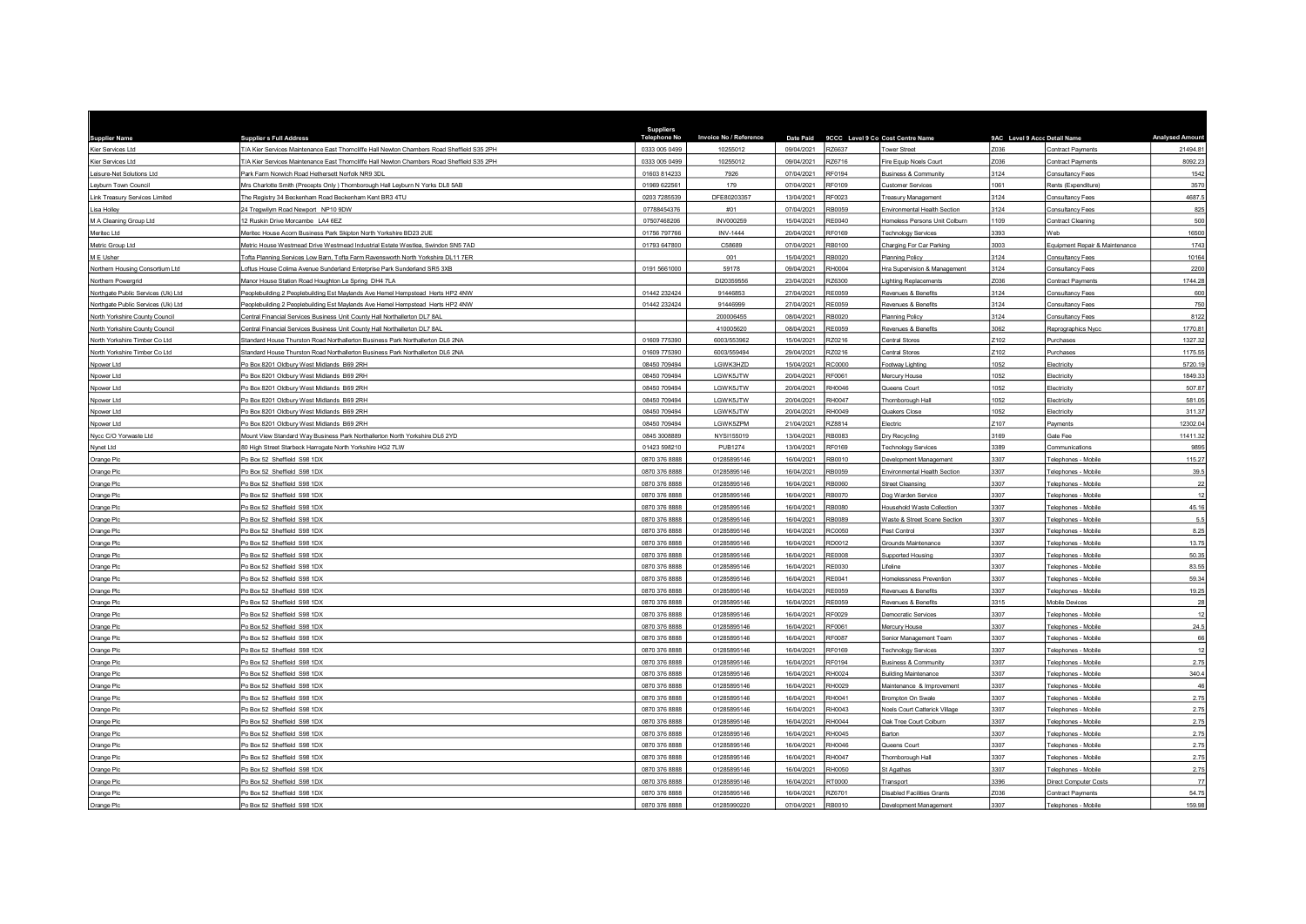| <b>Supplier Name</b>               | <b>Supplier s Full Address</b>                                                             | Suppliers<br><b>Telephone No</b> | Invoice No / Reference | Date Paid  |               | 9CCC Level 9 Co Cost Centre Name     | 9AC Level 9 Accc Detail Name |                                | <b>Analysed Amoun</b> |
|------------------------------------|--------------------------------------------------------------------------------------------|----------------------------------|------------------------|------------|---------------|--------------------------------------|------------------------------|--------------------------------|-----------------------|
| Kier Services Ltd                  | T/A Kier Services Maintenance East Thorncliffe Hall Newton Chambers Road Sheffield S35 2PH | 0333 005 0499                    | 10255012               | 09/04/2021 | RZ6637        | <b>Cower Street</b>                  | Z036                         | Contract Payments              | 21494.81              |
| Kier Services Ltd                  | /A Kier Services Maintenance East Thorncliffe Hall Newton Chambers Road Sheffield S35 2PH  | 0333 005 0499                    | 10255012               | 09/04/2021 | RZ6716        | Fire Equip Noels Court               | Z036                         | Contract Payments              | 8092.23               |
| eisure-Net Solutions Ltd.          | Park Farm Norwich Road Hethersett Norfolk NR9 3DL                                          | 01603 814233                     | 7926                   | 07/04/2021 | RF0194        | <b>Business &amp; Community</b>      | 3124                         | <b>Consultancy Fees</b>        | 1542                  |
| eyburn Town Council                | Mrs Charlotte Smith (Precepts Only ) Thomborough Hall Leyburn N Yorks DL8 5AB              | 01969 622561                     | 179                    | 07/04/2021 | RF0109        | Customer Services                    | 1061                         | Rents (Expenditure)            | 3570                  |
| ink Treasury Services Limited      | The Registry 34 Beckenham Road Beckenham Kent BR3 4TU                                      | 0203 7285539                     | DFE80203357            | 13/04/2021 | RF0023        | Freasury Management                  | 3124                         | Consultancy Fee:               | 4687.5                |
| Lisa Holley                        | 24 Tregwilym Road Newport NP10 9DW                                                         | 07788454376                      | #01                    | 07/04/2021 | RB0059        | Environmental Health Section         | 3124                         | Consultancy Fees               | 825                   |
| M A Cleaning Group Ltd             | 2 Ruskin Drive Morcambe LA4 6EZ                                                            | 0750746820                       | <b>INV000259</b>       | 15/04/2021 | <b>RF0040</b> | Iomeless Persons Unit Colburn        | 1109                         | Contract Cleaning              | 500                   |
| Meritec Ltd                        | Meritec House Acorn Business Park Skipton North Yorkshire BD23 2UE                         | 01756 797766                     | <b>INV-1444</b>        | 20/04/2021 | RF0169        | Technology Services                  | 3393                         | Web                            | 16500                 |
| Metric Group Ltd                   | Metric House Westmead Drive Westmead Industrial Estate Westlea, Swindon SN5 7AD            | 01793 647800                     | C58689                 | 07/04/2021 | RB0100        | Charging For Car Parking             | 3003                         | Equipment Repair & Maintenance | 1743                  |
| M E Usher                          | Tofta Planning Services Low Barn, Tofta Farm Ravensworth North Yorkshire DL11 7ER          |                                  | 001                    | 15/04/2021 | RB0020        | <b>Planning Policy</b>               | 3124                         | Consultancy Fees               | 10164                 |
| Northern Housing Consortium Ltd    | oftus House Colima Avenue Sunderland Enterprise Park Sunderland SR5 3XB                    | 0191 5661000                     | 59178                  | 09/04/2021 | RH0004        | Hra Supervision & Management         | 3124                         | <b>Consultancy Fees</b>        | 2200                  |
| Northern Powerarid                 | Manor House Station Road Houghton Le Spring DH4 7LA                                        |                                  | DI20359556             | 23/04/2021 | RZ6300        | Lighting Replacements                | Z036                         | Contract Payments              | 1744.28               |
| Northgate Public Services (Uk) Ltd | Peoplebuilding 2 Peoplebuilding Est Maylands Ave Hemel Hempstead Herts HP2 4NW             | 01442 232424                     | 91446853               | 27/04/2021 | RE0059        | Revenues & Benefits                  | 3124                         | <b>Consultancy Fees</b>        | 600                   |
| Northgate Public Services (Uk) Ltd | Peoplebuilding 2 Peoplebuilding Est Maylands Ave Hemel Hempstead Herts HP2 4NW             | 01442 232424                     | 91446999               | 27/04/2021 | RE0059        | Revenues & Benefits                  | 3124                         | Consultancy Fees               | 750                   |
| North Yorkshire County Council     | Central Financial Services Business Unit County Hall Northallerton DL7 8AL                 |                                  | 200006455              | 08/04/2021 | RB0020        | <b>Planning Policy</b>               | 3124                         | Consultancy Fees               | 8122                  |
| North Yorkshire County Council     | Central Financial Services Business Unit County Hall Northallerton DL7 8AL                 |                                  | 410005620              | 08/04/2021 | <b>RE0059</b> | Revenues & Benefits                  | 3062                         | Reprographics Nyco             | 1770.81               |
| North Yorkshire Timber Co Ltd      | Standard House Thurston Road Northallerton Business Park Northallerton DL6 2NA             | 01609 775390                     | 6003/553962            | 15/04/2021 | RZ0216        | Central Stores                       | Z102                         | Purchases                      | 1327.32               |
| North Yorkshire Timber Co Ltd      | Standard House Thurston Road Northallerton Business Park Northallerton DL6 2NA             | 01609 775390                     | 6003/559494            | 29/04/2021 | RZ0216        | <b>Central Stores</b>                | Z102                         | Purchase                       | 1175.55               |
| Npower Ltd                         | Po Box 8201 Oldbury West Midlands B69 2RH                                                  | 08450 709494                     | LGWK3HZD               | 15/04/2021 | RC0000        | ootway Lighting                      | 1052                         | Electricity                    | 5720.19               |
| Noower Ltd                         | O Box 8201 Oldbury West Midlands B69 2RH                                                   | 08450 709494                     | LGWK5JTW               | 20/04/2021 | RF0061        | Mercury House                        | 1052                         | Electricity                    | 1849.33               |
| Noower Ltd                         | Po Box 8201 Oldbury West Midlands B69 2RH                                                  | 08450 709494                     | LGWK5JTW               | 20/04/2021 | RH0046        | Queens Court                         | 1052                         | Electricity                    | 507.87                |
| Npower Ltd                         | O Box 8201 Oldbury West Midlands B69 2RH                                                   | 08450 709494                     | LGWK5JTW               | 20/04/2021 | RH0047        | hornborough Hall                     | 1052                         | Flectricity                    | 581.05                |
| Noower Ltd                         | Po Box 8201 Oldbury West Midlands B69 2RH                                                  | 08450 709494                     | LGWK5JTW               | 20/04/2021 | RH0049        | Quakers Close                        | 1052                         | Flectricity                    | 311.37                |
| Npower Ltd                         | Po Box 8201 Oldbury West Midlands B69 2RH                                                  | 08450 709494                     | LGWK5ZPM               | 21/04/2021 | RZ8814        | Electric                             | Z107                         | Payments                       | 12302.04              |
| Nycc C/O Yorwaste Ltd              | Mount View Standard Way Business Park Northallerton North Yorkshire DL6 2YD                | 0845 3008889                     | NYSI155019             | 13/04/2021 | <b>RB0083</b> | Dry Recycling                        | 3169                         | Gate Fee                       | 11411.32              |
| Nynet Ltd                          | 0 High Street Starbeck Harrogate North Yorkshire HG2 7LW                                   | 01423 598210                     | <b>PUB1274</b>         | 13/04/2021 | RF0169        | Fechnology Services                  | 3389                         | Communications                 | 9895                  |
| Orange Plc                         | Po Box 52 Sheffield S98 1DX                                                                | 0870 376 8888                    | 01285895146            | 16/04/2021 | RB0010        | Development Management               | 3307                         | Telephones - Mobile            | 115.27                |
| Orange Plc                         | Po Box 52 Sheffield S98 1DX                                                                | 0870 376 8888                    | 01285895146            | 16/04/2021 | RB0059        | Environmental Health Section         | 3307                         | Telephones - Mobile            | 39.5                  |
| Orange Plc                         | O Box 52 Sheffield S98 1DX                                                                 | 0870 376 8888                    | 01285895146            | 16/04/2021 | RB0060        | treet Cleansing                      | 3307                         | Telephones - Mobile            | $22\,$                |
| Orange Plc                         | Po Box 52 Sheffield S98 1DX                                                                | 0870 376 8888                    | 01285895146            | 16/04/2021 | RB0070        | <b>Dog Warden Service</b>            | 3307                         | Telephones - Mobile            | 12                    |
| Orange Plc                         | O Box 52 Sheffield S98 1DX                                                                 | 0870 376 8888                    | 01285895146            | 16/04/2021 | RB0080        | Household Waste Collection           | 3307                         | Telephones - Mobile            | 45.16                 |
| Orange Plc                         | Po Box 52 Sheffield S98 1DX                                                                | 0870 376 8888                    | 01285895146            | 16/04/2021 | RB0089        | Waste & Street Scene Section         | 3307                         | Telephones - Mobile            | 5.5                   |
| Orange Plc                         | O Box 52 Sheffield S98 1DX                                                                 | 0870 376 8888                    | 01285895146            | 16/04/2021 | RC0050        | Pest Control                         | 3307                         | Telephones - Mobile            | 8.25                  |
| Orange Plc                         | O Box 52 Sheffield S98 1DX                                                                 | 0870 376 8888                    | 01285895146            | 16/04/2021 | RD0012        | <b>Srounds Maintenance</b>           | 3307                         | Telephones - Mobile            | 13.75                 |
| Orange Plc                         | Po Box 52 Sheffield S98 1DX                                                                | 0870 376 8888                    | 01285895146            | 16/04/2021 | <b>RE0008</b> | <b>Supported Housing</b>             | 3307                         | Telephones - Mobile            | 50.35                 |
| Orange Plc                         | O Box 52 Sheffield S98 1DX                                                                 | 0870 376 888                     | 01285895146            | 16/04/2021 | RE0030        | ifeline                              | 3307                         | Telephones - Mobile            | 83.55                 |
| Orange Plc                         | Po Box 52 Sheffield S98 1DX                                                                | 0870 376 8888                    | 01285895146            | 16/04/2021 | RE0041        | Iomelessness Prevention              | 3307                         | Telephones - Mobile            | 59.34                 |
| Orange Plc                         | O Box 52 Sheffield S98 1DX                                                                 | 0870 376 888                     | 01285895146            | 16/04/2021 | RE0059        | Revenues & Benefits                  | 3307                         | Telephones - Mobil             | 19.25                 |
| Orange Plc                         | Po Box 52 Sheffield S98 1DX                                                                | 0870 376 8888                    | 01285895146            | 16/04/2021 | <b>RE0059</b> | Revenues & Benefits                  | 3315                         | Mobile Devices                 | 28                    |
| Orange Plc                         | O Box 52 Sheffield S98 1DX                                                                 | 0870 376 8888                    | 01285895146            | 16/04/2021 | RF0029        | Jemocratic Services                  | 3307                         | Telephones - Mobile            |                       |
| Orange Plc                         | Po Box 52 Sheffield S98 1DX                                                                | 0870 376 8888                    | 01285895146            | 16/04/2021 | RF0061        | Mercury House                        | 3307                         | Telephones - Mobile            | 24.5                  |
| Orange Plc                         | Po Box 52 Sheffield S98 1DX                                                                | 0870 376 8888                    | 01285895146            | 16/04/2021 | RF0087        | Senior Management Team               | 3307                         | Telephones - Mobile            | 66                    |
| Orange Plc                         | Po Box 52 Sheffield S98 1DX                                                                | 0870 376 8888                    | 01285895146            | 16/04/2021 | RF0169        | <b>Technology Services</b>           | 3307                         | Telephones - Mobile            | 12                    |
| Orange Plc                         | O Box 52 Sheffield S98 1DX                                                                 | 0870 376 8888                    | 01285895146            | 16/04/2021 | RF0194        | <b>Business &amp; Community</b>      | 3307                         | Telephones - Mobile            | 2.75                  |
| Orange Plc                         | O Box 52 Sheffield S98 1DX                                                                 | 0870 376 8888                    | 01285895146            | 16/04/2021 | RH0024        | <b>Building Maintenance</b>          | 3307                         | Telephones - Mobile            | 340.4                 |
| Orange Plc                         | Po Box 52 Sheffield S98 1DX                                                                | 0870 376 8888                    | 01285895146            | 16/04/2021 | RH0029        | Maintenance & Improvement            | 3307                         | Telephones - Mobile            | 46                    |
| Orange Plc                         | O Box 52 Sheffield S98 1DX                                                                 | 0870 376 888                     | 01285895146            | 16/04/2021 | RH0041        | Brompton On Swale                    | 3307                         | Telephones - Mobile            | 2.75                  |
| Orange Plc                         | O Box 52 Sheffield S98 1DX                                                                 | 0870 376 8888                    | 01285895146            | 16/04/2021 | RH0043        | <b>Voels Court Catterick Village</b> | 3307                         | Telephones - Mobile            | 2.75                  |
| Orange Plc                         | O Box 52 Sheffield S98 1DX                                                                 | 0870 376 8888                    | 01285895146            | 16/04/2021 | RH0044        | Oak Tree Court Colburn               | 3307                         | Telephones - Mobile            | 2.75                  |
| Orange Plc                         | Po Box 52 Sheffield S98 1DX                                                                | 0870 376 8888                    | 01285895146            | 16/04/2021 | RH0045        | Barton                               | 3307                         | Telephones - Mobile            | 2.75                  |
| Orange Plc                         | O Box 52 Sheffield S98 1DX                                                                 | 0870 376 8888                    | 01285895146            | 16/04/2021 | RH0046        | Queens Court                         | 3307                         | Telephones - Mobile            | 2.75                  |
| Orange Plc                         | O Box 52 Sheffield S98 1DX                                                                 | 0870 376 8888                    | 01285895146            | 16/04/2021 | RH0047        | Thornborough Hall                    | 3307                         | Telephones - Mobile            | 2.75                  |
| Orange Plc                         | Po Box 52 Sheffield S98 1DX                                                                | 0870 376 8888                    | 01285895146            | 16/04/2021 | RH0050        | St Agathas                           | 3307                         | Telephones - Mobile            | 2.75                  |
| Orange Plc                         | Po Box 52 Sheffield S98 1DX                                                                | 0870 376 8888                    | 01285895146            | 16/04/2021 | RT0000        | Transport                            | 3396                         | Direct Computer Costs          | 77                    |
| Orange Plc                         | O Box 52 Sheffield S98 1DX                                                                 | 0870 376 8888                    | 01285895146            | 16/04/2021 | RZ6701        | Disabled Facilities Grants           | Z036                         | <b>Contract Payments</b>       | 54.75                 |
| Orange Plc                         | Po Box 52 Sheffield S98 1DX                                                                | 0870 376 8888                    | 01285990220            | 07/04/2021 | RB0010        | Development Management               | 3307                         | Telephones - Mobile            | 159.98                |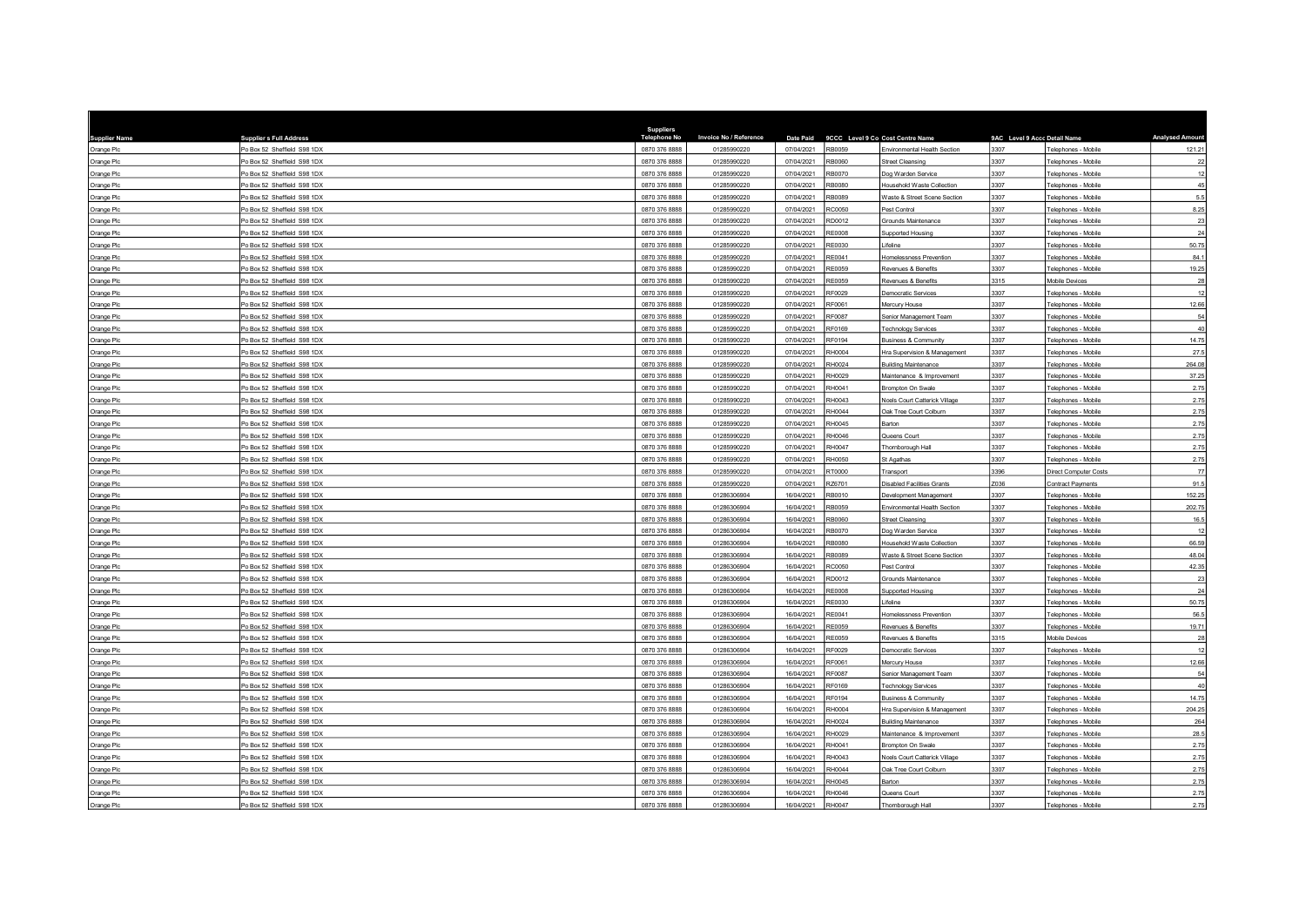| <b>Supplier Name</b> | <b>Supplier s Full Address</b> | Suppliers<br><b>Telephone No</b> | Invoice No / Reference | Date Paid  |               | 9CCC Level 9 Co Cost Centre Name     | 9AC Level 9 Accc Detail Name |                              | <b>Analysed Amoun</b> |
|----------------------|--------------------------------|----------------------------------|------------------------|------------|---------------|--------------------------------------|------------------------------|------------------------------|-----------------------|
| Orange Plc           | Po Box 52 Sheffield S98 1DX    | 0870 376 8888                    | 01285990220            | 07/04/2021 | RB0059        | Environmental Health Section         | 3307                         | Telephones - Mobile          | 121.21                |
| Orange Plc           | O Box 52 Sheffield S98 1DX     | 0870 376 8888                    | 01285990220            | 07/04/2021 | 3B0060        | Street Cleansing                     | 3307                         | Telephones - Mobile          | $22\,$                |
| Orange Plc           | Po Box 52 Sheffield S98 1DX    | 0870 376 8888                    | 01285990220            | 07/04/2021 | RB0070        | log Warden Service                   | 3307                         | Telephones - Mobile          | 12                    |
| Orange Plc           | Po Box 52 Sheffield S98 1DX    | 0870 376 8888                    | 01285990220            | 07/04/2021 | RB0080        | Household Waste Collection           | 3307                         | Telephones - Mobile          | 45                    |
| Orange Plc           | O Box 52 Sheffield S98 1DX     | 0870 376 8888                    | 01285990220            | 07/04/2021 | RB0089        | Waste & Street Scene Section         | 3307                         | Telephones - Mobile          | 5.5                   |
| Orange Plc           | Po Box 52 Sheffield S98 1DX    | 0870 376 8888                    | 01285990220            | 07/04/2021 | RC0050        | Pest Control                         | 3307                         | Telephones - Mobile          | 8.25                  |
| Orange Plc           | O Box 52 Sheffield S98 1DX     | 0870 376 888                     | 01285990220            | 07/04/2021 | RD0012        | <b>Grounds Maintenance</b>           | 3307                         | Telephones - Mobile          | $23\,$                |
| Orange Plc           | Po Box 52 Sheffield S98 1DX    | 0870 376 8888                    | 01285990220            | 07/04/2021 | <b>RE0008</b> | Supported Housing                    | 3307                         | Telephones - Mobile          | 24                    |
| Orange Plc           | O Box 52 Sheffield S98 1DX     | 0870 376 8888                    | 01285990220            | 07/04/2021 | RE0030        | ifeline                              | 3307                         | Telephones - Mobile          | 50.75                 |
| Orange Plc           | Po Box 52 Sheffield S98 1DX    | 0870 376 8888                    | 01285990220            | 07/04/2021 | RE0041        | Homelessness Prevention              | 3307                         | Telephones - Mobile          | 84.1                  |
| Orange Plc           | O Box 52 Sheffield S98 1DX     | 0870 376 8888                    | 01285990220            | 07/04/2021 | <b>RE0059</b> | Revenues & Benefits                  | 3307                         | Telephones - Mobile          | 19.25                 |
| Orange Plc           | Po Box 52 Sheffield S98 1DX    | 0870 376 8888                    | 01285990220            | 07/04/2021 | <b>RE0059</b> | Revenues & Benefits                  | 3315                         | Mobile Devices               | 28                    |
| Orange Plc           | O Box 52 Sheffield S98 1DX     | 0870 376 8888                    | 01285990220            | 07/04/2021 | RF0029        | <b>Democratic Services</b>           | 3307                         | Telephones - Mobile          | 12                    |
| Orange Plc           | O Box 52 Sheffield S98 1DX     | 0870 376 8888                    | 01285990220            | 07/04/2021 | RF0061        | <b>Mercury House</b>                 | 3307                         | Telephones - Mobile          | 12.66                 |
| Orange Plc           | O Box 52 Sheffield S98 1DX     | 0870 376 8888                    | 01285990220            | 07/04/2021 | RF0087        | Senior Management Team               | 3307                         | Telephones - Mobile          | 54                    |
| Orange Plc           | O Box 52 Sheffield S98 1DX     | 0870 376 8888                    | 01285990220            | 07/04/2021 | RF0169        | <b>Technology Services</b>           | 3307                         | Telephones - Mobile          | 40                    |
| Orange Plc           | Po Box 52 Sheffield S98 1DX    | 0870 376 8888                    | 01285990220            | 07/04/2021 | <b>RF0194</b> | <b>Business &amp; Community</b>      | 3307                         | Telephones - Mobile          | 14.75                 |
| Orange Plc           | O Box 52 Sheffield S98 1DX     | 0870 376 8888                    | 01285990220            | 07/04/2021 | RH0004        | Hra Supervision & Management         | 3307                         | Telephones - Mobile          | 27.5                  |
| Orange Plc           | Po Box 52 Sheffield S98 1DX    | 0870 376 8888                    | 01285990220            | 07/04/2021 | RH0024        | <b>Building Maintenance</b>          | 3307                         | Telephones - Mobile          | 264.08                |
| Orange Plc           | O Box 52 Sheffield S98 1DX     | 0870 376 8888                    | 01285990220            | 07/04/2021 | RH0029        | Maintenance & Improvement            | 3307                         | Telephones - Mobile          | 37.25                 |
| Orange Plc           | Po Box 52 Sheffield S98 1DX    | 0870 376 8888                    | 01285990220            | 07/04/2021 | RH0041        | Brompton On Swale                    | 3307                         | Telephones - Mobile          | 2.75                  |
| Orange Plc           | Po Box 52 Sheffield S98 1DX    | 0870 376 8888                    | 01285990220            | 07/04/2021 | RH0043        | <b>Noels Court Catterick Village</b> | 3307                         | Telephones - Mobile          | 2.75                  |
| Orange Plc           | O Box 52 Sheffield S98 1DX     | 0870 376 8888                    | 01285990220            | 07/04/2021 | RH0044        | Oak Tree Court Colburn               | 3307                         | Telephones - Mobile          | 2.75                  |
| Orange Plc           | Po Box 52 Sheffield S98 1DX    | 0870 376 8888                    | 01285990220            | 07/04/2021 | RH0045        | Barton                               | 3307                         | Telephones - Mobile          | 2.75                  |
| Orange Plc           | O Box 52 Sheffield S98 1DX     | 0870 376 8888                    | 01285990220            | 07/04/2021 | RH0046        | Queens Court                         | 3307                         | Telephones - Mobile          | 2.75                  |
| Orange Plc           | O Box 52 Sheffield S98 1DX     | 0870 376 8888                    | 01285990220            | 07/04/2021 | RH0047        | Thornborough Hall                    | 3307                         | Telephones - Mobile          | 2.75                  |
| Orange Plc           | Po Box 52 Sheffield S98 1DX    | 0870 376 8888                    | 01285990220            | 07/04/2021 | RH0050        | St Agathas                           | 3307                         | Telephones - Mobile          | 2.75                  |
| Orange Plc           | Po Box 52 Sheffield S98 1DX    | 0870 376 8888                    | 01285990220            | 07/04/2021 | RT0000        | Transport                            | 3396                         | <b>Direct Computer Costs</b> | 77                    |
| Orange Plc           | O Box 52 Sheffield S98 1DX     | 0870 376 8888                    | 01285990220            | 07/04/2021 | RZ6701        | Disabled Facilities Grants           | Z036                         | Contract Payments            | 91.5                  |
| Orange Plc           | O Box 52 Sheffield S98 1DX     | 0870 376 8888                    | 01286306904            | 16/04/2021 | RB0010        | <b>Jevelopment Management</b>        | 3307                         | Telephones - Mobile          | 152.25                |
| Orange Plc           | O Box 52 Sheffield S98 1DX     | 0870 376 8888                    | 01286306904            | 16/04/2021 | RB0059        | Invironmental Health Section         | 3307                         | Telephones - Mobile          | 202.75                |
| Orange Plc           | Po Box 52 Sheffield S98 1DX    | 0870 376 8888                    | 01286306904            | 16/04/2021 | RBOOSO        | Street Cleansing                     | 3307                         | Telephones - Mobile          | 16.5                  |
| Orange Plc           | Po Box 52 Sheffield S98 1DX    | 0870 376 8888                    | 01286306904            | 16/04/2021 | RB0070        | log Warden Service                   | 3307                         | Telephones - Mobile          | 12                    |
| Orange Plc           | O Box 52 Sheffield S98 1DX     | 0870 376 8888                    | 01286306904            | 16/04/2021 | RB0080        | lousehold Waste Collection           | 3307                         | Telephones - Mobile          | 66.59                 |
| Orange Plc           | Po Box 52 Sheffield S98 1DX    | 0870 376 8888                    | 01286306904            | 16/04/2021 | RB0089        | Waste & Street Scene Section         | 3307                         | Telephones - Mobile          | 48.04                 |
| Orange Plc           | O Box 52 Sheffield S98 1DX     | 0870 376 8888                    | 01286306904            | 16/04/2021 | <b>C0050</b>  | est Control                          | 3307                         | Telephones - Mobil           | 42.35                 |
| Orange Plc           | Po Box 52 Sheffield S98 1DX    | 0870 376 8888                    | 01286306904            | 16/04/2021 | RD0012        | Grounds Maintenance                  | 3307                         | Telephones - Mobile          | 23                    |
| Orange Plc           | Po Box 52 Sheffield S98 1DX    | 0870 376 8888                    | 01286306904            | 16/04/2021 | <b>RE0008</b> | <b>Supported Housing</b>             | 3307                         | Telephones - Mobile          | 24                    |
| Orange Plc           | Po Box 52 Sheffield S98 1DX    | 0870 376 8888                    | 01286306904            | 16/04/2021 | <b>RE0030</b> | ifeline                              | 3307                         | Telephones - Mobile          | 50.75                 |
| Orange Plc           | On Box 52 Sheffield S98 1DX    | 0870 376 8888                    | 01286306904            | 16/04/2021 | RE0041        | Homelessness Prevention              | 3307                         | Telephones - Mobile          | 56.5                  |
| Orange Plc           | Po Box 52 Sheffield S98 1DX    | 0870 376 8888                    | 01286306904            | 16/04/2021 | <b>RE0059</b> | Revenues & Benefits                  | 3307                         | Telephones - Mobile          | 19.71                 |
| Orange Plc           | O Box 52 Sheffield S98 1DX     | 0870 376 8888                    | 01286306904            | 16/04/2021 | <b>RE0059</b> | Revenues & Benefits                  | 3315                         | Mobile Devices               | 28                    |
| Orange Plc           | Po Box 52 Sheffield S98 1DX    | 0870 376 8888                    | 01286306904            | 16/04/2021 | RF0029        | <b>Jemocratic Services</b>           | 3307                         | Telephones - Mobile          | 12                    |
| Orange Plc           | O Box 52 Sheffield S98 1DX     | 0870 376 8888                    | 01286306904            | 16/04/2021 | RF0061        | <b>Mercury House</b>                 | 3307                         | Telephones - Mobile          | 12.66                 |
| Orange Plc           | O Box 52 Sheffield S98 1DX     | 0870 376 8888                    | 01286306904            | 16/04/2021 | RF0087        | Senior Management Team               | 3307                         | Telephones - Mobile          | 54                    |
| Orange Plc           | Po Box 52 Sheffield S98 1DX    | 0870 376 8888                    | 01286306904            | 16/04/2021 | RF0169        | <b>Technology Services</b>           | 3307                         | Telephones - Mobile          | 40                    |
| Orange Plc           | O Box 52 Sheffield S98 1DX     | 0870 376 8888                    | 01286306904            | 16/04/2021 | RF0194        | susiness & Community                 | 3307                         | Telephones - Mobile          | 14.75                 |
| Orange Plc           | Po Box 52 Sheffield S98 1DX    | 0870 376 8888                    | 01286306904            | 16/04/2021 | RH0004        | Hra Supervision & Management         | 3307                         | Telephones - Mobile          | 204.25                |
| Orange Plc           | Po Box 52 Sheffield S98 1DX    | 0870 376 8888                    | 01286306904            | 16/04/2021 | RH0024        | <b>Building Maintenance</b>          | 3307                         | Telephones - Mobile          | 264                   |
| Orange Plc           | Po Box 52 Sheffield S98 1DX    | 0870 376 8888                    | 01286306904            | 16/04/2021 | RH0029        | Maintenance & Improvement            | 3307                         | Telephones - Mobile          | 28.5                  |
| Orange Plc           | O Box 52 Sheffield S98 1DX     | 0870 376 8888                    | 01286306904            | 16/04/2021 | RH0041        | <b>Brompton On Swale</b>             | 3307                         | Telephones - Mobile          | 2.75                  |
| Orange Plc           | O Box 52 Sheffield S98 1DX     | 0870 376 8888                    | 01286306904            | 16/04/2021 | RH0043        | <b>Noels Court Catterick Village</b> | 3307                         | Telephones - Mobile          | 2.75                  |
| Orange Plc           | Po Box 52 Sheffield S98 1DX    | 0870 376 8888                    | 01286306904            | 16/04/2021 | RH0044        | Oak Tree Court Colburn               | 3307                         | Telephones - Mobile          | 2.75                  |
| Orange Plc           | Po Box 52 Sheffield S98 1DX    | 0870 376 8888                    | 01286306904            | 16/04/2021 | RH0045        | arton                                | 3307                         | Telephones - Mobile          | 2.75                  |
| Orange Plc           | Po Box 52 Sheffield S98 1DX    | 0870 376 8888                    | 01286306904            | 16/04/2021 | RH0046        | Queens Court                         | 3307                         | Telephones - Mobile          | 2.75                  |
| Orange Plc           | Po Box 52 Sheffield S98 1DX    | 0870 376 8888                    | 01286306904            | 16/04/2021 | RH0047        | Thornborough Hall                    | 3307                         | Telephones - Mobile          | 2.75                  |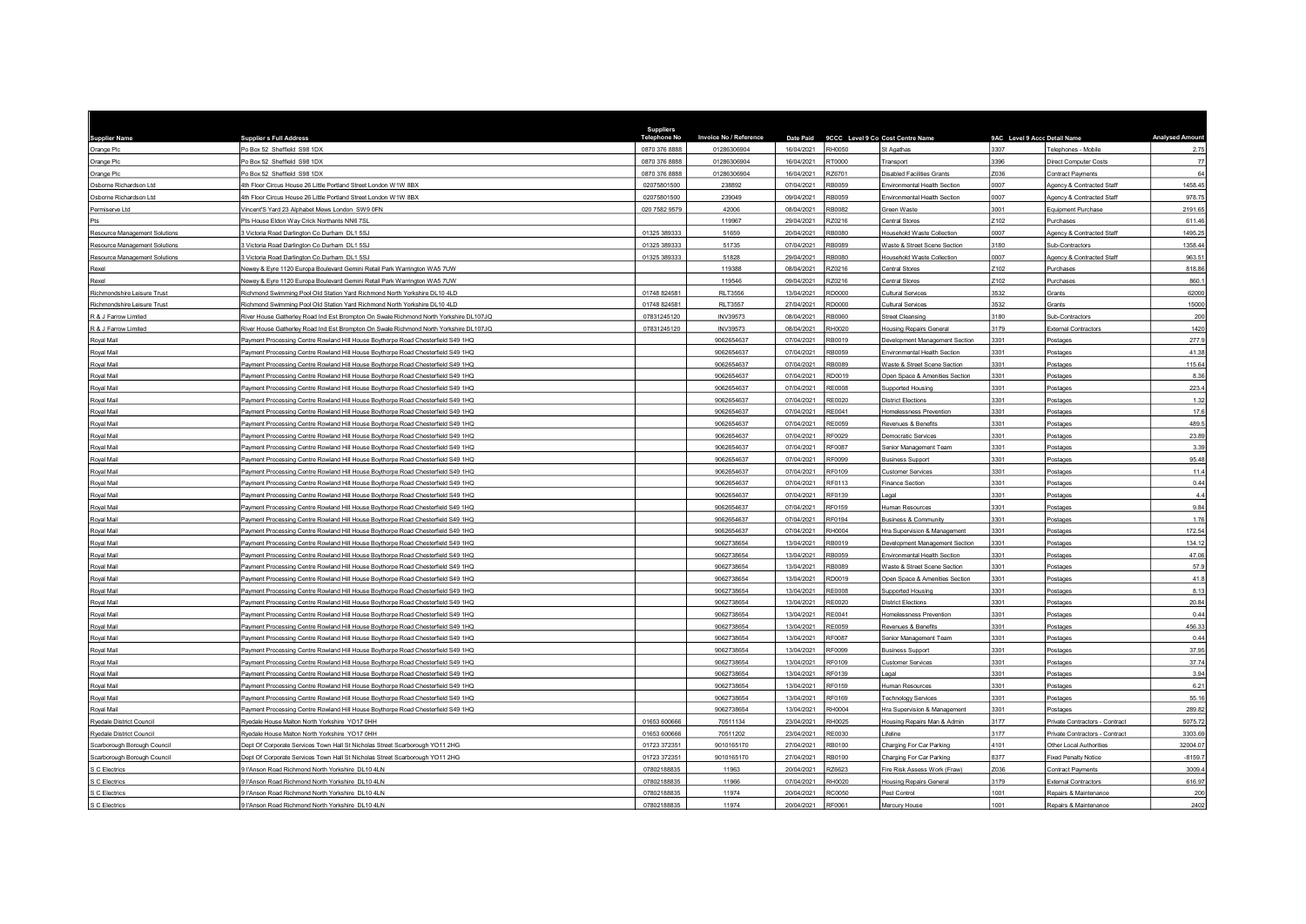| <b>Supplier Name</b>                 | <b>Supplier s Full Address</b>                                                        | <b>Suppliers</b><br><b>Telephone No</b> | Invoice No / Reference | Date Paid  |               | 9CCC Level 9 Co Cost Centre Name  | 9AC Level 9 Accc Detail Name |                                | <b>Analysed Amoun</b> |
|--------------------------------------|---------------------------------------------------------------------------------------|-----------------------------------------|------------------------|------------|---------------|-----------------------------------|------------------------------|--------------------------------|-----------------------|
| Orange Plc                           | Po Box 52 Sheffield S98 1DX                                                           | 0870 376 8888                           | 01286306904            | 16/04/2021 | RH0050        | St Agathas                        | 3307                         | Telephones - Mobile            | 2.75                  |
| Orange Plc                           | O Box 52 Sheffield S98 1DX                                                            | 0870 376 8888                           | 01286306904            | 16/04/2021 | 000075        | Transport                         | 3396                         | Direct Computer Costs          | $77\,$                |
| Orange Plc                           | O Box 52 Sheffield S98 1DX                                                            | 0870 376 8888                           | 01286306904            | 16/04/2021 | Z6701         | Disabled Facilities Grants        | Z036                         | Contract Payments              | 64                    |
| Osborne Richardson Ltd               | 4th Floor Circus House 26 Little Portland Street London W1W 8BX                       | 02075801500                             | 238892                 | 07/04/2021 | RB0059        | Environmental Health Section      | 0007                         | Agency & Contracted Staff      | 1458.45               |
| Osborne Richardson Ltd               | 4th Floor Circus House 26 Little Portland Street London W1W 8BX                       | 02075801500                             | 239049                 | 09/04/2021 | B0059         | Environmental Health Section      | 0007                         | Agency & Contracted Staff      | 978.75                |
| Permiserve Ltd                       | /incent'S Yard 23 Alphabet Mews London SW9 0FN                                        | 020 7582 9579                           | 42006                  | 08/04/2021 | RB0082        | Green Waste                       | 3001                         | Equipment Purchase             | 2191.65               |
| Pts                                  | <sup>2</sup> ts House Eldon Way Crick Northants NN6 7SI                               |                                         | 119967                 | 29/04/2021 | Z0216         | Central Stores                    | Z102                         | Purchases                      | 611.46                |
| Resource Management Solutions        | 3 Victoria Road Darlington Co Durham DL1 5SJ                                          | 01325 389333                            | 51659                  | 20/04/2021 | RB0080        | Household Waste Collection        | 0007                         | Agency & Contracted Staff      | 1495.25               |
| <b>Resource Management Solutions</b> | Victoria Road Darlington Co Durham DL1 5SJ                                            | 01325 389333                            | 51735                  | 07/04/2021 | RB0089        | Waste & Street Scene Section      | 3180                         | Sub-Contractors                | 1358.44               |
| Resource Management Solutions        | 3 Victoria Road Darlington Co Durham DL1 5SJ                                          | 01325 389333                            | 51828                  | 29/04/2021 | <b>080087</b> | <b>Household Waste Collection</b> | 0007                         | Agency & Contracted Staff      | 963.51                |
| Rexel                                | Vewey & Eyre 1120 Europa Boulevard Gemini Retail Park Warrington WA5 7UW              |                                         | 119388                 | 08/04/2021 | Z0216         | Central Stores                    | Z102                         | Purchases                      | 818.86                |
| Rexel                                | Jewey & Evre 1120 Europa Boulevard Gemini Retail Park Warrington WA5 7UW              |                                         | 119546                 | 09/04/2021 | RZ0216        | <b>Central Stores</b>             | Z <sub>102</sub>             | Purchases                      | 860.1                 |
| Richmondshire Leisure Trust          | Richmond Swimming Pool Old Station Yard Richmond North Yorkshire DL10 4LD             | 01748 824581                            | <b>RLT3556</b>         | 13/04/2021 | RD0000        | Cultural Services                 | 3532                         | Grants                         | 62000                 |
| Richmondshire Leisure Trust          | Richmond Swimming Pool Old Station Yard Richmond North Yorkshire DL10 4LD             | 01748 824581                            | <b>RLT3557</b>         | 27/04/2021 | RD0000        | Cultural Services                 | 3532                         | Grants                         | 15000                 |
| R & J Farrow Limited                 | tiver House Gatherley Road Ind Est Brompton On Swale Richmond North Yorkshire DL107JQ | 07831245120                             | INV39573               | 08/04/2021 | 0800B         | <b>Street Cleansing</b>           | 3180                         | Sub-Contractors                | 200                   |
| R & J Farrow Limited                 | River House Gatherley Road Ind Est Brompton On Swale Richmond North Yorkshire DL107JQ | 07831245120                             | INV39573               | 08/04/2021 | RH0020        | <b>Housing Repairs General</b>    | 3179                         | <b>External Contractors</b>    | 1420                  |
| Royal Mail                           | Payment Processing Centre Rowland Hill House Boythorpe Road Chesterfield S49 1HQ      |                                         | 9062654637             | 07/04/2021 | RB0019        | Development Management Section    | 3301                         | Postages                       | 277.9                 |
| Royal Mail                           | Payment Processing Centre Rowland Hill House Boythorpe Road Chesterfield S49 1HQ      |                                         | 9062654637             | 07/04/2021 | RB0059        | Environmental Health Section      | 3301                         | Postages                       | 41.38                 |
| Royal Mail                           | Payment Processing Centre Rowland Hill House Boythorpe Road Chesterfield S49 1HQ      |                                         | 9062654637             | 07/04/2021 | RB0089        | Waste & Street Scene Section      | 3301                         | Postages                       | 115.64                |
| Roval Mail                           | Payment Processing Centre Rowland Hill House Boythorpe Road Chesterfield S49 1HQ      |                                         | 9062654637             | 07/04/2021 | RD0019        | Open Space & Amenities Section    | 3301                         | Postage                        | 8.36                  |
| Royal Mail                           | Payment Processing Centre Rowland Hill House Boythorpe Road Chesterfield S49 1HQ      |                                         | 9062654637             | 07/04/2021 | <b>RE0008</b> | Supported Housing                 | 3301                         | Postages                       | 223.4                 |
| Royal Mail                           | Payment Processing Centre Rowland Hill House Boythorpe Road Chesterfield S49 1HQ      |                                         | 9062654637             | 07/04/2021 | RE0020        | <b>District Elections</b>         | 3301                         | Postages                       | 1.32                  |
| Royal Mail                           | Payment Processing Centre Rowland Hill House Boythorpe Road Chesterfield S49 1HQ      |                                         | 9062654637             | 07/04/2021 | RF0041        | Homelessness Prevention           | 3301                         | Postages                       | 17.6                  |
| Royal Mail                           | Payment Processing Centre Rowland Hill House Boythorpe Road Chesterfield S49 1HQ      |                                         | 9062654637             | 07/04/2021 | RE0059        | Revenues & Benefits               | 3301                         | Postages                       | 489.5                 |
| Royal Mail                           | Payment Processing Centre Rowland Hill House Boythorpe Road Chesterfield S49 1HQ      |                                         | 9062654637             | 07/04/2021 | RF0029        | Democratic Services               | 3301                         | Postages                       | 23.89                 |
| Royal Mail                           | Payment Processing Centre Rowland Hill House Boythorpe Road Chesterfield S49 1HQ      |                                         | 9062654637             | 07/04/2021 | RF0087        | Senior Management Team            | 3301                         | Postages                       | 3.39                  |
| Royal Mail                           | Payment Processing Centre Rowland Hill House Boythorpe Road Chesterfield S49 1HQ      |                                         | 9062654637             | 07/04/2021 | RF0099        | <b>Business Support</b>           | 3301                         | Postages                       | 95.48                 |
| Royal Mail                           | Payment Processing Centre Rowland Hill House Boythorpe Road Chesterfield S49 1HQ      |                                         | 9062654637             | 07/04/2021 | RF0109        | <b>Customer Services</b>          | 3301                         | Postages                       | 11.4                  |
| Roval Mail                           | Payment Processing Centre Rowland Hill House Boythorpe Road Chesterfield S49 1HQ      |                                         | 9062654637             | 07/04/2021 | RF0113        | <b>Finance Section</b>            | 3301                         | Postages                       | 0.44                  |
| Royal Mail                           | Payment Processing Centre Rowland Hill House Boythorpe Road Chesterfield S49 1HQ      |                                         | 9062654637             | 07/04/2021 | RF0139        | l egal                            | 3301                         | Postages                       | 4.4                   |
| Royal Mail                           | Payment Processing Centre Rowland Hill House Boythorpe Road Chesterfield S49 1HQ      |                                         | 9062654637             | 07/04/2021 | RF0159        | Human Resources                   | 3301                         | Postage                        | 9.84                  |
| Royal Mail                           | Payment Processing Centre Rowland Hill House Boythorpe Road Chesterfield S49 1HQ      |                                         | 9062654637             | 07/04/2021 | <b>RE0194</b> | <b>Business &amp; Community</b>   | 3301                         | Postages                       | 176                   |
| Royal Mail                           | Payment Processing Centre Rowland Hill House Boythorpe Road Chesterfield S49 1HQ      |                                         | 9062654637             | 07/04/2021 | RH0004        | Hra Supervision & Management      | 3301                         | Postages                       | 172.54                |
| Royal Mail                           | ayment Processing Centre Rowland Hill House Boythorpe Road Chesterfield S49 1HQ       |                                         | 9062738654             | 13/04/2021 | B0019         | Development Management Section    | 3301                         | Postages                       | 134.12                |
| Royal Mail                           | Payment Processing Centre Rowland Hill House Boythorpe Road Chesterfield S49 1HQ      |                                         | 9062738654             | 13/04/2021 | RB0059        | Environmental Health Section      | 3301                         | Postages                       | 47.06                 |
| Royal Mail                           | ayment Processing Centre Rowland Hill House Boythorpe Road Chesterfield S49 1HQ       |                                         | 9062738654             | 13/04/2021 | <b>B0089</b>  | Vaste & Street Scene Section      | 3301                         | Postage                        | 57.9                  |
| Royal Mail                           | Payment Processing Centre Rowland Hill House Boythorpe Road Chesterfield S49 1HQ      |                                         | 9062738654             | 13/04/2021 | RD0019        | Open Space & Amenities Section    | 3301                         | Postages                       | 41.8                  |
| Royal Mail                           | Payment Processing Centre Rowland Hill House Boythorpe Road Chesterfield S49 1HQ      |                                         | 9062738654             | 13/04/2021 | RE0008        | <b>Supported Housing</b>          | 3301                         | Postages                       | 8.13                  |
| Royal Mail                           | Payment Processing Centre Rowland Hill House Boythorpe Road Chesterfield S49 1HQ      |                                         | 9062738654             | 13/04/2021 | RE0020        | <b>District Elections</b>         | 3301                         | Postages                       | 20.84                 |
| Royal Mail                           | Payment Processing Centre Rowland Hill House Boythorpe Road Chesterfield S49 1HQ      |                                         | 9062738654             | 13/04/2021 | RF0041        | Homelessness Preventior           | 3301                         | Postages                       | 0.44                  |
| Royal Mail                           | Payment Processing Centre Rowland Hill House Boythorpe Road Chesterfield S49 1HQ      |                                         | 9062738654             | 13/04/2021 | <b>RE0059</b> | Revenues & Benefits               | 3301                         | Postages                       | 456.33                |
| Royal Mail                           | Payment Processing Centre Rowland Hill House Boythorpe Road Chesterfield S49 1HQ      |                                         | 9062738654             | 13/04/2021 | <b>RE0087</b> | Senior Management Team            | 3301                         | Postages                       | 0.44                  |
| Royal Mail                           | Payment Processing Centre Rowland Hill House Boythorpe Road Chesterfield S49 1HQ      |                                         | 9062738654             | 13/04/2021 | RF0099        | <b>Business Support</b>           | 3301                         | Postages                       | 37.95                 |
| Royal Mail                           | Payment Processing Centre Rowland Hill House Boythorpe Road Chesterfield S49 1HQ      |                                         | 9062738654             | 13/04/2021 | RF0109        | Customer Services                 | 3301                         | Postages                       | 37.74                 |
| Royal Mail                           | Payment Processing Centre Rowland Hill House Boythorpe Road Chesterfield S49 1HQ      |                                         | 9062738654             | 13/04/2021 | RF0139        | Legal                             | 3301                         | Postages                       | 3.94                  |
| Royal Mail                           | Payment Processing Centre Rowland Hill House Boythorpe Road Chesterfield S49 1HQ      |                                         | 9062738654             | 13/04/2021 | RF0159        | Human Resources                   | 3301                         | Postages                       | 6.21                  |
| Royal Mail                           | Payment Processing Centre Rowland Hill House Boythorpe Road Chesterfield S49 1HQ      |                                         | 9062738654             | 13/04/2021 | RF0169        | <b>Technology Services</b>        | 3301                         | Postages                       | 55.16                 |
| Royal Mail                           | Payment Processing Centre Rowland Hill House Boythorpe Road Chesterfield S49 1HQ      |                                         | 9062738654             | 13/04/2021 | RH0004        | Hra Supervision & Management      | 3301                         | Postages                       | 289.82                |
| Ryedale District Council             | Ryedale House Malton North Yorkshire YO17 0HH                                         | 01653 600666                            | 70511134               | 23/04/2021 | RH0025        | Housing Repairs Man & Admin       | 3177                         | Private Contractors - Contract | 5075.72               |
| Ryedale District Council             | Ryedale House Malton North Yorkshire YO17 0HH                                         | 01653 600666                            | 70511202               | 23/04/2021 | <b>RE0030</b> | Lifeline                          | 3177                         | Private Contractors - Contract | 3303.69               |
| Scarborough Borough Council          | lept Of Corporate Services Town Hall St Nicholas Street Scarborough YO11 2HG          | 01723 372351                            | 9010165170             | 27/04/2021 | RB0100        | Charging For Car Parking          | 4101                         | Other Local Authorities        | 32004.07              |
| Scarborough Borough Council          | Dept Of Corporate Services Town Hall St Nicholas Street Scarborough YO11 2HG          | 01723 372351                            | 9010165170             | 27/04/2021 | RB0100        | Charging For Car Parking          | 8377                         | <b>Fixed Penalty Notice</b>    | $-8159.7$             |
| S C Electrics                        | I'Anson Road Richmond North Yorkshire DL10 4LN                                        | 07802188835                             | 11963                  | 20/04/2021 | 376623        | Fire Risk Assess Work (Fraw)      | Z036                         | Contract Payments              | 3009.4                |
| S C Electrics                        | HAnson Road Richmond North Yorkshire DL10 4LN                                         | 07802188835                             | 11966                  | 07/04/2021 | RH0020        | <b>Housing Repairs General</b>    | 3179                         | <b>External Contractors</b>    | 616.97                |
| S C Electrics                        | l'Anson Road Richmond North Yorkshire DL10 4LN                                        | 07802188835                             | 11974                  | 20/04/2021 | <b>RC0050</b> | Pest Control                      | 1001                         | Repairs & Maintenance          | 200                   |
| S C Electrics                        | 9 l'Anson Road Richmond North Yorkshire DL10 4LN                                      | 07802188835                             | 11974                  | 20/04/2021 | RF0061        | Mercury House                     | 1001                         | Repairs & Maintenance          | 2402                  |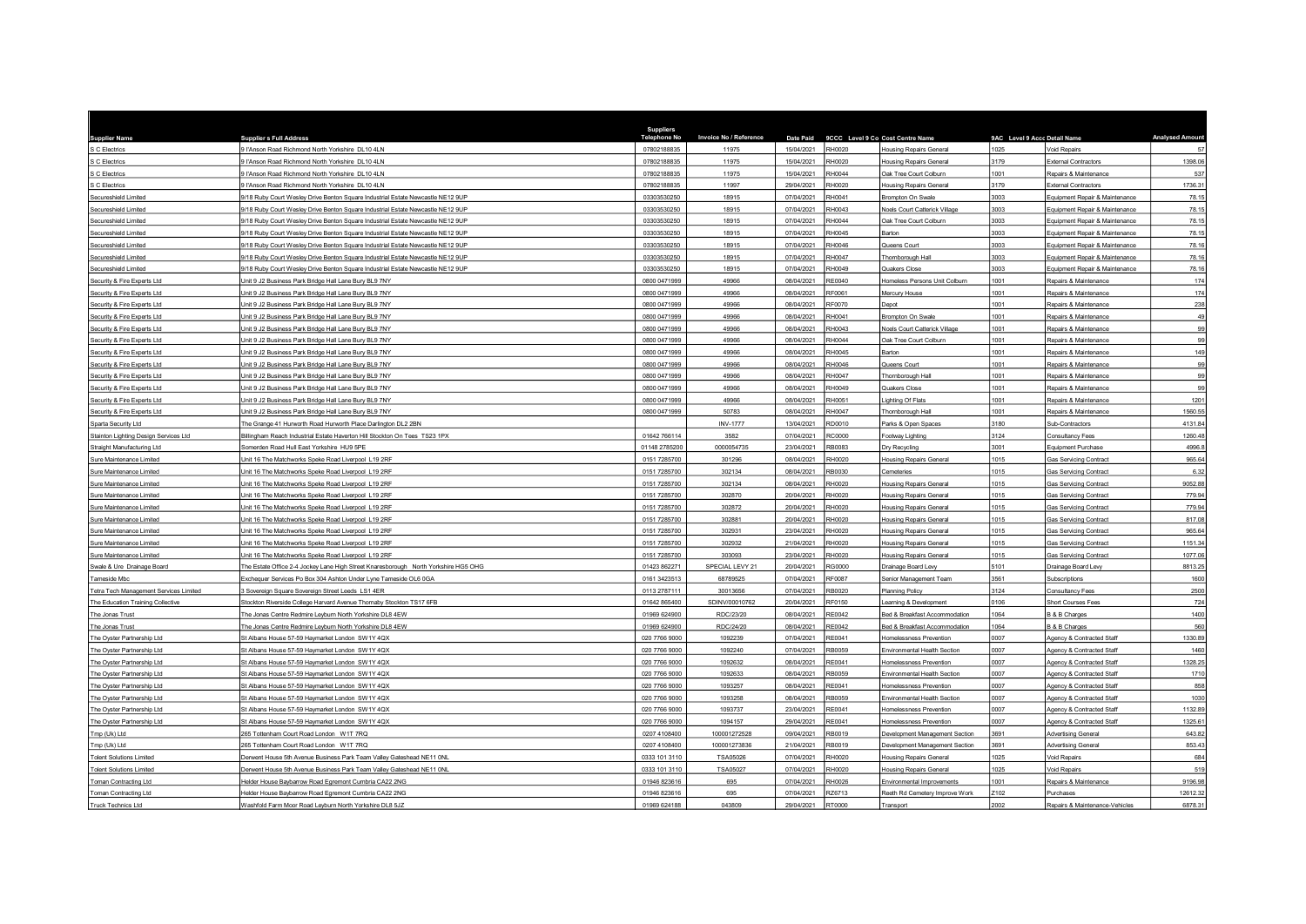| <b>Supplier Name</b>                   | <b>Supplier s Full Address</b>                                                     | Suppliers<br><b>Telephone No</b> | Invoice No / Reference | Date Paid  |               | 9CCC Level 9 Co Cost Centre Name | 9AC Level 9 Accc Detail Name |                                | <b>Analysed Amount</b> |
|----------------------------------------|------------------------------------------------------------------------------------|----------------------------------|------------------------|------------|---------------|----------------------------------|------------------------------|--------------------------------|------------------------|
| S C Electrics                          | HAnson Road Richmond North Yorkshire DL10 4LN                                      | 07802188835                      | 11975                  | 15/04/2021 | <b>RH0020</b> | Housing Repairs General          | 1025                         | Void Repairs                   | 57                     |
| C Electrics                            | HAnson Road Richmond North Yorkshire DL10 4LN                                      | 07802188835                      | 11975                  | 15/04/2021 | RH0020        | Housing Repairs General          | 3179                         | <b>External Contractors</b>    | 1398.06                |
| C Electrics                            | HAnson Road Richmond North Yorkshire DL10 4LN                                      | 07802188835                      | 11975                  | 15/04/2021 | RH0044        | Oak Tree Court Colburn           | 1001                         | Repairs & Maintenance          | 537                    |
| C Electrics                            | HAnson Road Richmond North Yorkshire DL10 4LN                                      | 07802188835                      | 11997                  | 29/04/2021 | RH0020        | <b>Housing Repairs General</b>   | 3179                         | <b>External Contractors</b>    | 1736.31                |
| Secureshield Limited                   | 18 Ruby Court Wesley Drive Benton Square Industrial Estate Newcastle NE12 9UP      | 03303530250                      | 18915                  | 07/04/2021 | RH0041        | Brompton On Swale                | 3003                         | Equipment Repair & Maintenance | 78.15                  |
| Secureshield Limited                   | 18 Ruby Court Wesley Drive Benton Square Industrial Estate Newcastle NE12 9UP      | 03303530250                      | 18915                  | 07/04/2021 | RH0043        | Noels Court Catterick Village    | 3003                         | Equipment Repair & Maintenance | 78.15                  |
| Secureshield Limited                   | /18 Ruby Court Wesley Drive Benton Square Industrial Estate Newcastle NE12 9UP     | 03303530250                      | 18915                  | 07/04/2021 | RH0044        | Oak Tree Court Colburn           | 3003                         | Equipment Repair & Maintenance | 78.15                  |
| Secureshield Limited                   | 1/18 Ruby Court Wesley Drive Benton Square Industrial Estate Newcastle NE12 9UP    | 03303530250                      | 18915                  | 07/04/2021 | <b>RH0045</b> | Barton                           | 3003                         | Equipment Repair & Maintenance | 78.15                  |
| Secureshield Limited                   | /18 Ruby Court Wesley Drive Benton Square Industrial Estate Newcastle NE12 9UP     | 03303530250                      | 18915                  | 07/04/2021 | RH0046        | Queens Court                     | 3003                         | Equipment Repair & Maintenance | 78.16                  |
| Secureshield Limited                   | /18 Ruby Court Wesley Drive Benton Square Industrial Estate Newcastle NE12 9UP     | 03303530250                      | 18915                  | 07/04/2021 | RH0047        | Thornborough Hall                | 3003                         | Equipment Repair & Maintenance | 78.16                  |
| Secureshield Limited                   | 18 Ruby Court Wesley Drive Benton Square Industrial Estate Newcastle NE12 9UP      | 03303530250                      | 18915                  | 07/04/2021 | RH0049        | Quakers Close                    | 3003                         | Equipment Repair & Maintenance | 78.16                  |
| Security & Fire Experts Ltd            | Jnit 9 J2 Business Park Bridge Hall Lane Bury BL9 7NY                              | 0800 0471999                     | 49966                  | 08/04/2021 | <b>RE0040</b> | Homeless Persons Unit Colburn    | 1001                         | Repairs & Maintenance          | 174                    |
| Security & Fire Experts Ltd            | Init 9 J2 Business Park Bridge Hall Lane Bury BL9 7NY                              | 0800 0471999                     | 49966                  | 08/04/2021 | RF0061        | Mercury House                    | 1001                         | Repairs & Maintenance          | 174                    |
| ecurity & Fire Experts Ltd             | nit 9 J2 Business Park Bridge Hall Lane Bury BL9 7NY                               | 0800 0471999                     | 49966                  | 08/04/2021 | RF0070        | epot                             | 1001                         | Repairs & Maintenance          | 238                    |
| Security & Fire Experts Ltd            | Jnit 9 J2 Business Park Bridge Hall Lane Bury BL9 7NY                              | 0800 0471999                     | 49966                  | 08/04/2021 | RH0041        | Brompton On Swale                | 1001                         | Repairs & Maintenance          | 49                     |
| Security & Fire Experts Ltd            | Jnit 9 J2 Business Park Bridge Hall Lane Bury BL9 7NY                              | 0800 0471999                     | 49966                  | 08/04/2021 | RH0043        | Noels Court Catterick Village    | 1001                         | Repairs & Maintenance          | 99                     |
| Security & Fire Experts Ltd            | Jnit 9 J2 Business Park Bridge Hall Lane Bury BL9 7NY                              | 0800 0471999                     | 49966                  | 08/04/2021 | RH0044        | Oak Tree Court Colburn           | 1001                         | Repairs & Maintenance          | 99                     |
| Security & Fire Experts Ltd            | Jnit 9 J2 Business Park Bridge Hall Lane Bury BL9 7NY                              | 0800 0471999                     | 49966                  | 08/04/2021 | RH0045        | arton                            | 1001                         | Repairs & Maintenance          | 149                    |
| Security & Fire Experts Ltd            | Jnit 9 J2 Business Park Bridge Hall Lane Bury BL9 7NY                              | 0800 0471999                     | 49966                  | 08/04/2021 | RH0046        | Queens Court                     | 1001                         | Repairs & Maintenance          | 99                     |
| Security & Fire Experts Ltd            | Jnit 9 J2 Business Park Bridge Hall Lane Bury BL9 7NY                              | 0800 0471999                     | 49966                  | 08/04/2021 | RH0047        | Thornborough Hall                | 1001                         | Repairs & Maintenance          | 99                     |
| Security & Fire Experts Ltd            | Jnit 9 J2 Business Park Bridge Hall Lane Bury BL9 7NY                              | 0800 0471999                     | 49966                  | 08/04/2021 | RH0049        | Quakers Close                    | 1001                         | Repairs & Maintenance          | 99                     |
| ecurity & Fire Experts Ltd             | Jnit 9 J2 Business Park Bridge Hall Lane Bury BL9 7NY                              | 0800 0471999                     | 49966                  | 08/04/2021 | RH0051        | ighting Of Flats                 | 1001                         | Repairs & Maintenance          | 1201                   |
| Security & Fire Experts Ltd            | Jnit 9 J2 Business Park Bridge Hall Lane Bury BL9 7NY                              | 0800 0471999                     | 50783                  | 08/04/2021 | RH0047        | Thornborough Hall                | 1001                         | Repairs & Maintenance          | 1560.55                |
| Sparta Security Ltd                    | The Grange 41 Hurworth Road Hurworth Place Darlington DL2 2BN                      |                                  | <b>INV-1777</b>        | 13/04/2021 | RD0010        | Parks & Open Spaces              | 3180                         | Sub-Contractors                | 4131.84                |
| Stainton Lighting Design Services Ltd  | Billingham Reach Industrial Estate Haverton Hill Stockton On Tees TS23 1PX         | 01642 766114                     | 3582                   | 07/04/2021 | <b>RC0000</b> | Footway Lighting                 | 3124                         | Consultancy Fees               | 1260.48                |
| Straight Manufacturing Ltd             | Somerden Road Hull East Yorkshire HU9 5PE                                          | 01148 2785200                    | 0000054735             | 23/04/2021 | RB0083        | Dry Recycling                    | 3001                         | Equipment Purchase             | 4996.8                 |
| Sure Maintenance Limited               | Jnit 16 The Matchworks Speke Road Liverpool L19 2RF                                | 0151 7285700                     | 301296                 | 08/04/2021 | RH0020        | lousing Repairs General          | 1015                         | <b>Gas Servicing Contract</b>  | 965.64                 |
| Sure Maintenance Limited               | Jnit 16 The Matchworks Speke Road Liverpool L19 2RF                                | 0151 7285700                     | 302134                 | 08/04/2021 | RB0030        | Cemeteries                       | 1015                         | <b>Gas Servicing Contract</b>  | 6.32                   |
| ure Maintenance Limited                | Init 16 The Matchworks Speke Road Liverpool L19 2RF                                | 0151 7285700                     | 302134                 | 08/04/2021 | RH0020        | <b>Housing Repairs General</b>   | 1015                         | Gas Servicing Contract         | 9052.88                |
| Sure Maintenance Limited               | Init 16 The Matchworks Speke Road Liverpool 119 2RF                                | 0151 7285700                     | 302870                 | 20/04/2021 | RH0020        | <b>Housing Repairs General</b>   | 1015                         | Gas Servicing Contract         | 779.94                 |
| ure Maintenance Limited                | Jnit 16 The Matchworks Speke Road Liverpool L19 2RF                                | 0151 7285700                     | 302872                 | 20/04/2021 | RH0020        | <b>Housing Repairs General</b>   | 1015                         | Gas Servicing Contract         | 779.94                 |
| ire Maintenance Limited                | Init 16 The Matchworks Speke Road Liverpool L19 2RF                                | 0151 7285700                     | 302881                 | 20/04/2021 | 3H0020        | Housing Repairs Genera           | 1015                         | <b>Gas Servicing Contract</b>  | 817.08                 |
| ure Maintenance Limited                | Init 16 The Matchworks Speke Road Liverpool L19 2RF                                | 0151 7285700                     | 302931                 | 23/04/2021 | RH0020        | <b>Housing Repairs General</b>   | 1015                         | <b>Gas Servicing Contract</b>  | 965.64                 |
| ure Maintenance Limited                | nit 16 The Matchworks Speke Road Liverpool L19 2RF                                 | 0151 7285700                     | 302932                 | 21/04/2021 | RH0020        | lousing Repairs General          | 1015                         | <b>Gas Servicing Contract</b>  | 1151.34                |
| Sure Maintenance Limited               | Jnit 16 The Matchworks Speke Road Liverpool L19 2RF                                | 0151 7285700                     | 303093                 | 23/04/2021 | RH0020        | <b>Housing Repairs General</b>   | 1015                         | <b>Gas Servicing Contract</b>  | 1077.06                |
| vale & Ure Drainage Board              | he Estate Office 2-4 Jockey Lane High Street Knaresborough North Yorkshire HG5 OHG | 01423 862271                     | SPECIAL LEVY 21        | 20/04/2021 | G0000         | <b>Drainage Board Levy</b>       | 5101                         | Drainage Board Levy            | 8813.25                |
| Tameside Mbc                           | Exchequer Services Po Box 304 Ashton Under Lyne Tameside OL6 0GA                   | 0161 3423513                     | 68789525               | 07/04/2021 | <b>RF0087</b> | Senior Management Team           | 3561                         | Subscriptions                  | 1600                   |
| Tetra Tech Management Services Limited | 3 Sovereign Square Sovereign Street Leeds LS1 4ER                                  | 0113 2787111                     | 30013656               | 07/04/2021 | RB0020        | Planning Policy                  | 3124                         | Consultancy Fees               | 2500                   |
| The Education Training Collective      | Stockton Riverside College Harvard Avenue Thornaby Stockton TS17 6FB               | 01642 865400                     | SDINV/00010762         | 20/04/2021 | RF0150        | earning & Development            | 0106                         | Short Courses Fees             | 724                    |
| The Jonas Trust                        | he Jonas Centre Redmire Leyburn North Yorkshire DL8 4EW                            | 01969 624900                     | RDC/23/20              | 08/04/2021 | RF0042        | led & Breakfast Accommodation    | 1064                         | 3 & B Charges                  | 1400                   |
| The Jonas Trust                        | The Jonas Centre Redmire Leyburn North Yorkshire DL8 4EW                           | 01969 624900                     | RDC/24/20              | 08/04/2021 | RE0042        | Bed & Breakfast Accommodation    | 1064                         | <b>B &amp; B Charges</b>       | 560                    |
| The Oyster Partnership Ltd             | St Albans House 57-59 Haymarket London SW1Y 4QX                                    | 020 7766 9000                    | 1092239                | 07/04/2021 | RF0041        | Iomelessness Prevention          | 0007                         | Agency & Contracted Staff      | 1330.89                |
| The Oyster Partnership Ltd             | It Albans House 57-59 Haymarket London SW1Y 4QX                                    | 020 7766 9000                    | 1092240                | 07/04/2021 | RB0059        | Environmental Health Section     | 0007                         | Agency & Contracted Staff      | 1460                   |
| The Oyster Partnership Ltd             | t Albans House 57-59 Haymarket London SW1Y 4QX                                     | 020 7766 9000                    | 1092632                | 08/04/2021 | RE0041        | Iomelessness Prevention          | 0007                         | Agency & Contracted Staff      | 1328.25                |
| The Oyster Partnership Ltd             | It Albans House 57-59 Haymarket London SW1Y 4QX                                    | 020 7766 9000                    | 1092633                | 08/04/2021 | RB0059        | Environmental Health Section     | 0007                         | Agency & Contracted Staff      | 1710                   |
| The Oyster Partnership Ltd             | St Albans House 57-59 Haymarket London SW1Y 4QX                                    | 020 7766 9000                    | 1093257                | 08/04/2021 | RE0041        | Homelessness Prevention          | 0007                         | Agency & Contracted Staff      | 858                    |
| The Oyster Partnership Ltd             | St Albans House 57-59 Haymarket London SW1Y 4QX                                    | 020 7766 9000                    | 1093258                | 08/04/2021 | RB0059        | Invironmental Health Section     | 0007                         | Agency & Contracted Staff      | 1030                   |
| The Oyster Partnership Ltd             | St Albans House 57-59 Haymarket London SW1Y 4QX                                    | 020 7766 9000                    | 1093737                | 23/04/2021 | RE0041        | Homelessness Prevention          | 0007                         | Agency & Contracted Staff      | 1132.89                |
| The Oyster Partnership Ltd             | St Albans House 57-59 Haymarket London SW1Y 4QX                                    | 020 7766 9000                    | 1094157                | 29/04/2021 | RE0041        | Iomelessness Prevention          | 0007                         | Agency & Contracted Staff      | 1325.61                |
| Tmp (Uk) Ltd                           | 265 Tottenham Court Road London W1T 7RQ                                            | 0207 4108400                     | 100001272528           | 09/04/2021 | RB0019        | evelopment Management Section    | 3691                         | <b>Advertising General</b>     | 643.82                 |
| mp (Uk) Ltd                            | 65 Tottenham Court Road London W1T 7RQ                                             | 0207 4108400                     | 100001273836           | 21/04/2021 | <b>B0019</b>  | Jevelopment Management Section   | 3691                         | <b>Advertising General</b>     | 853.43                 |
| <b>Tolent Solutions Limited</b>        | erwent House 5th Avenue Business Park Team Valley Gateshead NE11 0NL               | 0333 101 3110                    | TSA05026               | 07/04/2021 | H0020         | <b>Housing Repairs General</b>   | 1025                         | Void Repairs                   | 684                    |
| <b>Tolent Solutions Limited</b>        | Derwent House 5th Avenue Business Park Team Valley Gateshead NE11 ONL              | 0333 101 3110                    | TSA05027               | 07/04/2021 | RH0020        | <b>Housing Repairs General</b>   | 1025                         | Void Repairs                   | 519                    |
| Toman Contracting Ltd                  | Helder House Baybarrow Road Egremont Cumbria CA22 2NG                              | 01946 823616                     | 695                    | 07/04/2021 | 8H0026        | invironmental Improvements       | 001                          | Repairs & Maintenance          | 9196.98                |
| Toman Contracting Ltd                  | Helder House Baybarrow Road Egremont Cumbria CA22 2NG                              | 01946 823616                     | 695                    | 07/04/2021 | RZ6713        | Reeth Rd Cemetery Improve Work   | Z102                         | Purchases                      | 12612.32               |
| <b>Truck Technics Ltd</b>              | Vashfold Farm Moor Road Leyburn North Yorkshire DL8 5JZ                            | 01969 624188                     | 043809                 | 29/04/2021 | RT0000        | Transport                        | 2002                         | Repairs & Maintenance-Vehicles | 6878.31                |